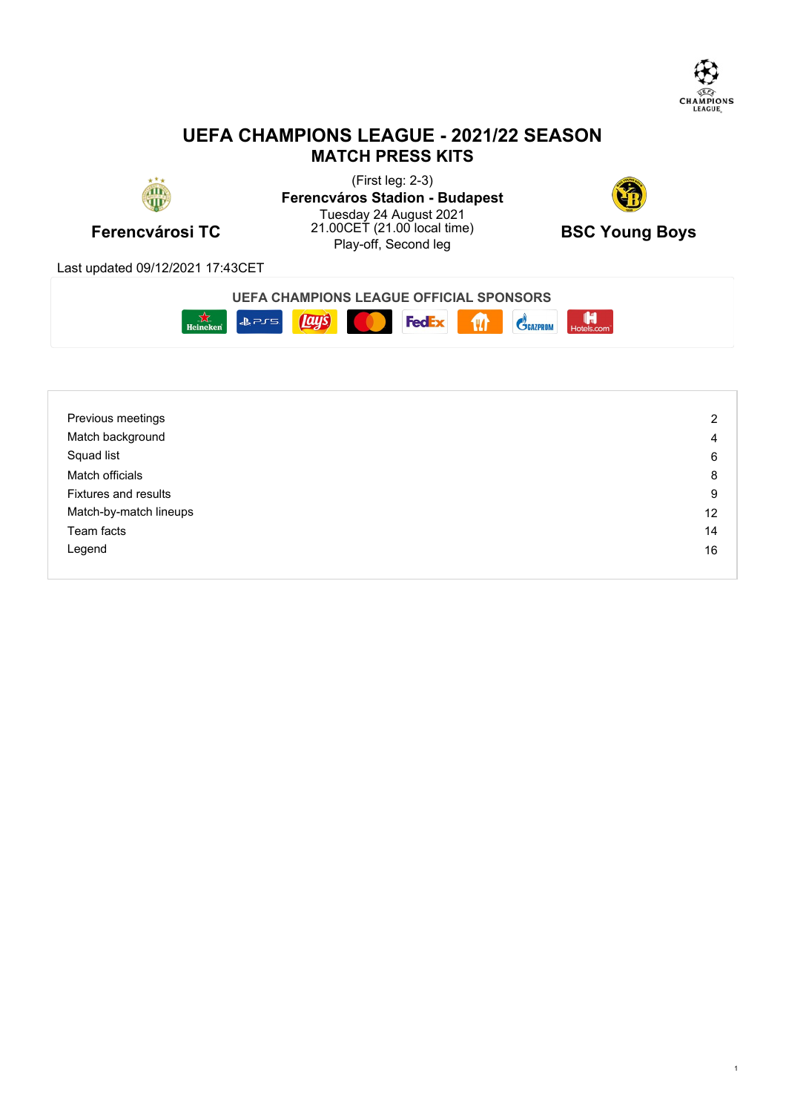

# **UEFA CHAMPIONS LEAGUE - 2021/22 SEASON MATCH PRESS KITS**



**Ferencvárosi TC** 21.00CET (21.00 local time) **BSC Young Boys**<br>Play-off, Second leg (First leg: 2-3) **Ferencváros Stadion - Budapest** Tuesday 24 August 2021 21.00CET (21.00 local time)  $RSC$  Young Roys <sup>00CET</sup> (21.00 local time) **BSC Young Boys**<br>Play-off, Second leg



Last updated 09/12/2021 17:43CET



| Previous meetings           | 2  |
|-----------------------------|----|
| Match background            | 4  |
| Squad list                  | 6  |
| Match officials             | 8  |
| <b>Fixtures and results</b> | 9  |
| Match-by-match lineups      | 12 |
| Team facts                  | 14 |
| Legend                      | 16 |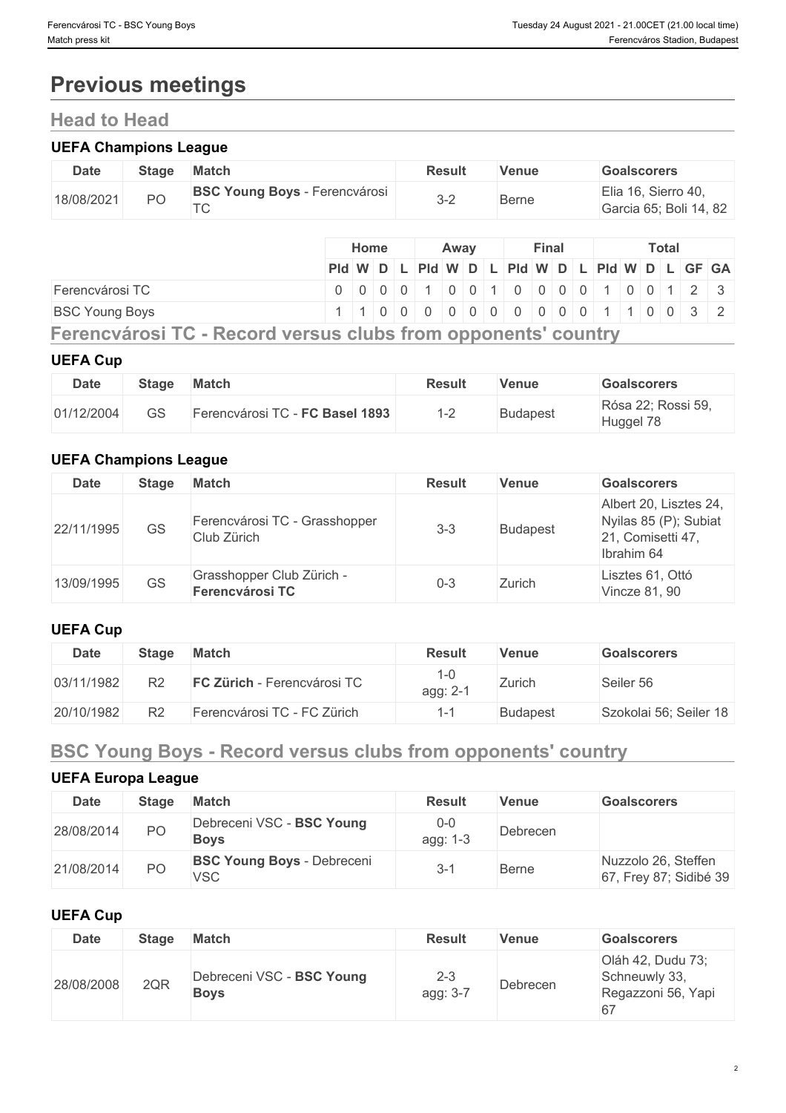# **Previous meetings**

# **Head to Head**

### **UEFA Champions League**

| <b>Date</b> | <b>Stage</b> | <b>Match</b>                            | Result  | Venue | <b>Goalscorers</b>                            |
|-------------|--------------|-----------------------------------------|---------|-------|-----------------------------------------------|
| 18/08/2021  | PO           | BSC Young Boys - Ferencvárosi<br>$\tau$ | $3 - 2$ | Berne | Elia 16, Sierro 40,<br>Garcia 65; Boli 14, 82 |

|                       | Home |  | Away |  |  | <b>Final</b> |  |  | <b>Total</b> |                                               |
|-----------------------|------|--|------|--|--|--------------|--|--|--------------|-----------------------------------------------|
|                       |      |  |      |  |  |              |  |  |              | PId W D L PId W D L PId W D L PId W D L GF GA |
| Ferencvárosi TC       |      |  |      |  |  |              |  |  |              | 0 0 0 0 0 1 0 0 1 0 0 0 0 0 1 0 0 1 2 3       |
| <b>BSC Young Boys</b> |      |  |      |  |  |              |  |  |              | 1 1 0 0 0 0 0 0 0 0 0 0 0 0 1 1 0 0 3 2       |

**Ferencvárosi TC - Record versus clubs from opponents' country**

#### **UEFA Cup**

| <b>Date</b> | <b>Stage</b> | <b>Match</b>                    | Result   | Venue           | <b>Goalscorers</b>              |
|-------------|--------------|---------------------------------|----------|-----------------|---------------------------------|
| 01/12/2004  | GS           | Ferencvárosi TC - FC Basel 1893 | ⊿ ∩<br>_ | <b>Budapest</b> | Rósa 22; Rossi 59,<br>Huggel 78 |

#### **UEFA Champions League**

| <b>Date</b> | <b>Stage</b> | Match                                               | <b>Result</b> | <b>Venue</b> | <b>Goalscorers</b>                                                                 |
|-------------|--------------|-----------------------------------------------------|---------------|--------------|------------------------------------------------------------------------------------|
| 22/11/1995  | GS           | Ferencvárosi TC - Grasshopper<br>Club Zürich        | $3 - 3$       | Budapest     | Albert 20, Lisztes 24,<br>Nyilas 85 (P); Subiat<br>21, Comisetti 47,<br>Ibrahim 64 |
| 13/09/1995  | <b>GS</b>    | Grasshopper Club Zürich -<br><b>Ferencvárosi TC</b> | $0 - 3$       | Zurich       | Lisztes 61, Ottó<br>Vincze 81, 90                                                  |

## **UEFA Cup**

| <b>Date</b> | Stage          | <b>Match</b>                | <b>Result</b>   | Venue           | <b>Goalscorers</b>     |
|-------------|----------------|-----------------------------|-----------------|-----------------|------------------------|
| 03/11/1982  | R2             | FC Zürich - Ferencvárosi TC | l-0<br>agg: 2-1 | Zurich          | Seiler 56              |
| 20/10/1982  | R <sub>2</sub> | Ferencvárosi TC - FC Zürich | 1-1             | <b>Budapest</b> | Szokolai 56; Seiler 18 |

# **BSC Young Boys - Record versus clubs from opponents' country**

## **UEFA Europa League**

| <b>Date</b> | <b>Stage</b> | <b>Match</b>                                    | <b>Result</b>       | <b>Venue</b> | <b>Goalscorers</b>                            |
|-------------|--------------|-------------------------------------------------|---------------------|--------------|-----------------------------------------------|
| 28/08/2014  | PO           | Debreceni VSC - BSC Young<br><b>Boys</b>        | $0 - 0$<br>agg: 1-3 | Debrecen     |                                               |
| 21/08/2014  | PO           | <b>BSC Young Boys - Debreceni</b><br><b>VSC</b> | $3 - 7$             | <b>Berne</b> | Nuzzolo 26, Steffen<br>67, Frey 87; Sidibé 39 |

### **UEFA Cup**

| <b>Date</b> | <b>Stage</b> | <b>Match</b>                             | <b>Result</b>       | <b>Venue</b> | <b>Goalscorers</b>                                       |
|-------------|--------------|------------------------------------------|---------------------|--------------|----------------------------------------------------------|
| 28/08/2008  | 2QR          | Debreceni VSC - BSC Young<br><b>Boys</b> | $2 - 3$<br>agg: 3-7 | Debrecen     | Oláh 42, Dudu 73;<br>Schneuwly 33,<br>Regazzoni 56, Yapi |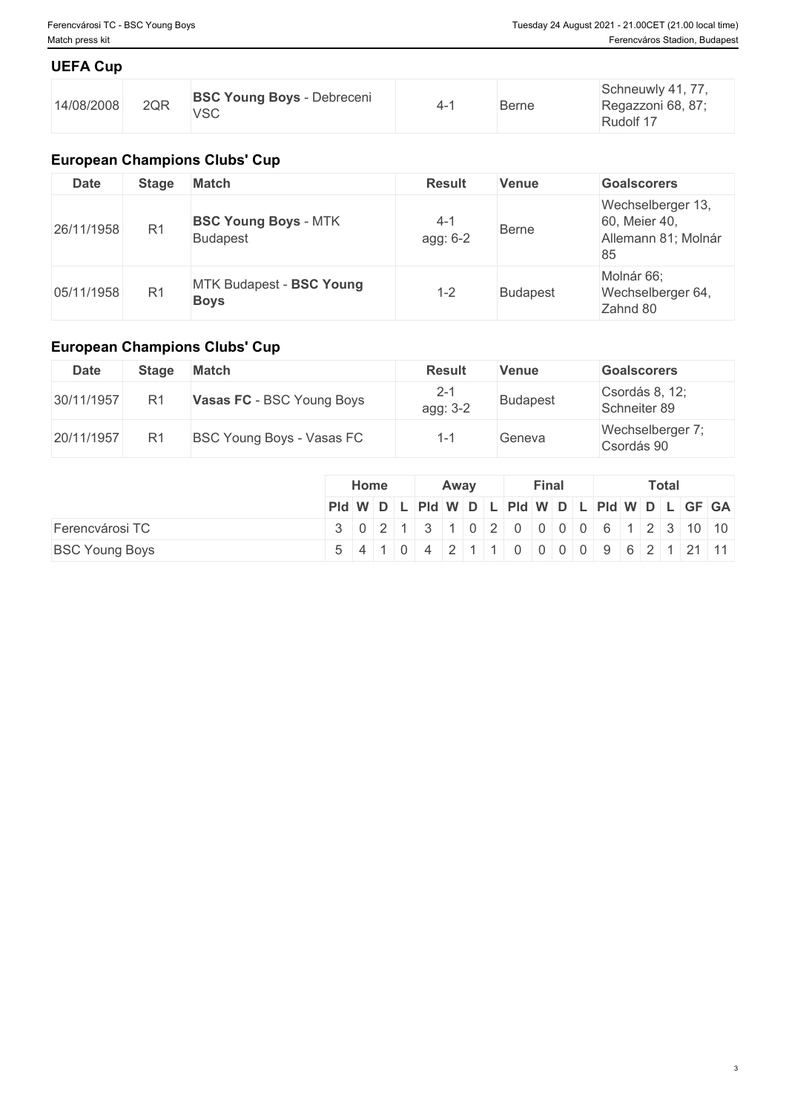### **UEFA Cup**

| $\cap$<br>14/08/2008<br>ZUR. | <b>BSC Young Boys</b><br>Debreceni<br><b>VSC</b> | . . | Berne | $\rightarrow$<br>Schneuwly 41, 77.<br>Regazzoni 68, 87;<br>Rudolf 17 |
|------------------------------|--------------------------------------------------|-----|-------|----------------------------------------------------------------------|
|------------------------------|--------------------------------------------------|-----|-------|----------------------------------------------------------------------|

# **European Champions Clubs' Cup**

| <b>Date</b> | <b>Stage</b>   | <b>Match</b>                                   | <b>Result</b>       | <b>Venue</b>    | <b>Goalscorers</b>                                              |
|-------------|----------------|------------------------------------------------|---------------------|-----------------|-----------------------------------------------------------------|
| 26/11/1958  | R <sub>1</sub> | <b>BSC Young Boys - MTK</b><br><b>Budapest</b> | $4 - 1$<br>agg: 6-2 | <b>Berne</b>    | Wechselberger 13,<br>60, Meier 40,<br>Allemann 81; Molnár<br>85 |
| 05/11/1958  | R1             | MTK Budapest - BSC Young<br><b>Boys</b>        | $1 - 2$             | <b>Budapest</b> | Molnár 66;<br>Wechselberger 64,<br>Zahnd 80                     |

# **European Champions Clubs' Cup**

| <b>Date</b> | <b>Stage</b>   | Match                     | <b>Result</b>       | <b>Venue</b> | <b>Goalscorers</b>             |
|-------------|----------------|---------------------------|---------------------|--------------|--------------------------------|
| 30/11/1957  | R <sub>1</sub> | Vasas FC - BSC Young Boys | $2 - 1$<br>agg: 3-2 | Budapest     | Csordás 8, 12;<br>Schneiter 89 |
| 20/11/1957  | R <sub>1</sub> | BSC Young Boys - Vasas FC |                     | Geneva       | Wechselberger 7;<br>Csordás 90 |

|                       |                                          | Home |                                         | Away | <b>Final</b> |  |  | <b>Total</b> |  |  |  |  |  |
|-----------------------|------------------------------------------|------|-----------------------------------------|------|--------------|--|--|--------------|--|--|--|--|--|
|                       | PId WDLPId WDLPId WDLPId WDLPId WDLGF GA |      |                                         |      |              |  |  |              |  |  |  |  |  |
| Ferencvárosi TC       | 3 0 2 1 3 1 0 2 0 0 0 0 6 1 2 3 10 10    |      |                                         |      |              |  |  |              |  |  |  |  |  |
| <b>BSC Young Boys</b> |                                          |      | 5 4 1 0 4 2 1 1 0 0 0 0 0 9 6 2 1 21 11 |      |              |  |  |              |  |  |  |  |  |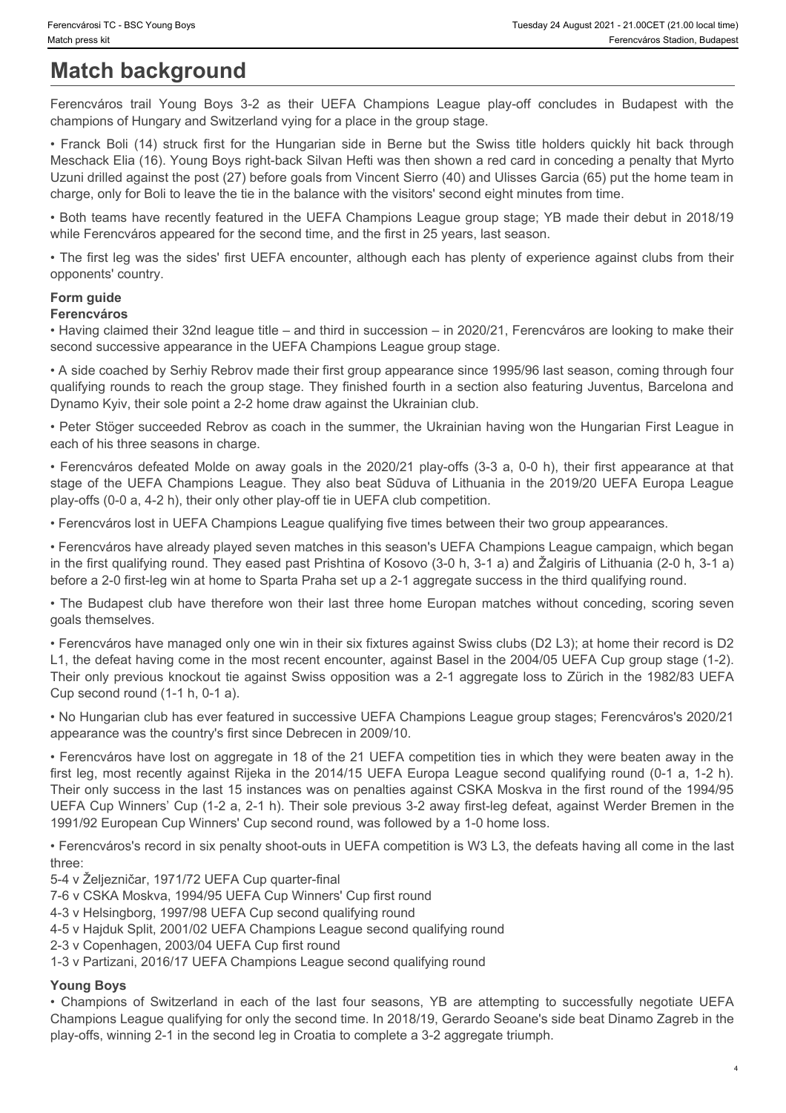# **Match background**

champions of Hungary and Switzerland vying for a place in the group stage.

Frencvárosi TC - BSC Young Boys<br>
Match press kit<br>
Ferencváros trail Young Boys 3-2 as their UEFA Champions League play-off concludes in Budapest with the<br>
champions of Hungary and Switzerland vying for a place in the group Franck Franck Boli TC - BSC Young Boys<br>
Forencyatos kit Forencyatos Stadion, Budapest<br> **Match background**<br>
Ferencyatos stadion, Budapest<br>
Ferencyatos stadion, Budapest<br>
- Franck Boli (14) struck first for the Hungarian sid Meschack Elia (16). Young Boys right-back Silvan Hefti was then shown a red card in conceding a penalty that Myrto Uzuni drilled against the post (27) before goals from Vincent Sierro (40) and Ulisses Garcia (65) put the home team in charge, only for Boli to leave the tie in the balance with the visitors' second eight minutes from time.

• Both teams have recently featured in the UEFA Champions League group stage; YB made their debut in 2018/19 while Ferencváros appeared for the second time, and the first in 25 years, last season.

• The first leg was the sides' first UEFA encounter, although each has plenty of experience against clubs from their opponents' country.

#### **Form guide Ferencváros**

• Having claimed their 32nd league title – and third in succession – in 2020/21, Ferencváros are looking to make their second successive appearance in the UEFA Champions League group stage.

• A side coached by Serhiy Rebrov made their first group appearance since 1995/96 last season, coming through four qualifying rounds to reach the group stage. They finished fourth in a section also featuring Juventus, Barcelona and Dynamo Kyiv, their sole point a 2-2 home draw against the Ukrainian club.

• Peter Stöger succeeded Rebrov as coach in the summer, the Ukrainian having won the Hungarian First League in each of his three seasons in charge.

• Ferencváros defeated Molde on away goals in the 2020/21 play-offs (3-3 a, 0-0 h), their first appearance at that stage of the UEFA Champions League. They also beat Sūduva of Lithuania in the 2019/20 UEFA Europa League play-offs (0-0 a, 4-2 h), their only other play-off tie in UEFA club competition.

• Ferencváros lost in UEFA Champions League qualifying five times between their two group appearances.

• Ferencváros have already played seven matches in this season's UEFA Champions League campaign, which began in the first qualifying round. They eased past Prishtina of Kosovo (3-0 h, 3-1 a) and Žalgiris of Lithuania (2-0 h, 3-1 a) before a 2-0 first-leg win at home to Sparta Praha set up a 2-1 aggregate success in the third qualifying round.

• The Budapest club have therefore won their last three home Europan matches without conceding, scoring seven goals themselves.

• Ferencváros have managed only one win in their six fixtures against Swiss clubs (D2 L3); at home their record is D2 L1, the defeat having come in the most recent encounter, against Basel in the 2004/05 UEFA Cup group stage (1-2). Their only previous knockout tie against Swiss opposition was a 2-1 aggregate loss to Zürich in the 1982/83 UEFA Cup second round (1-1 h, 0-1 a).

• No Hungarian club has ever featured in successive UEFA Champions League group stages; Ferencváros's 2020/21 appearance was the country's first since Debrecen in 2009/10.

• Ferencváros have lost on aggregate in 18 of the 21 UEFA competition ties in which they were beaten away in the first leg, most recently against Rijeka in the 2014/15 UEFA Europa League second qualifying round (0-1 a, 1-2 h). Their only success in the last 15 instances was on penalties against CSKA Moskva in the first round of the 1994/95 UEFA Cup Winners' Cup (1-2 a, 2-1 h). Their sole previous 3-2 away first-leg defeat, against Werder Bremen in the 1991/92 European Cup Winners' Cup second round, was followed by a 1-0 home loss. • A acis coated by Seriny Rethormation and the inter group appearance since 8190568 last four Amplitudes (Suite Theorem Give) four states four systems (Suite The last four seasons) of Dynamic Rethormation (Suite The Poissi

• Ferencváros's record in six penalty shoot-outs in UEFA competition is W3 L3, the defeats having all come in the last three:

5-4 v Željezničar, 1971/72 UEFA Cup quarter-final

7-6 v CSKA Moskva, 1994/95 UEFA Cup Winners' Cup first round

4-3 v Helsingborg, 1997/98 UEFA Cup second qualifying round

4-5 v Hajduk Split, 2001/02 UEFA Champions League second qualifying round

2-3 v Copenhagen, 2003/04 UEFA Cup first round

1-3 v Partizani, 2016/17 UEFA Champions League second qualifying round

#### **Young Boys**

Champions League qualifying for only the second time. In 2018/19, Gerardo Seoane's side beat Dinamo Zagreb in the play-offs, winning 2-1 in the second leg in Croatia to complete a 3-2 aggregate triumph.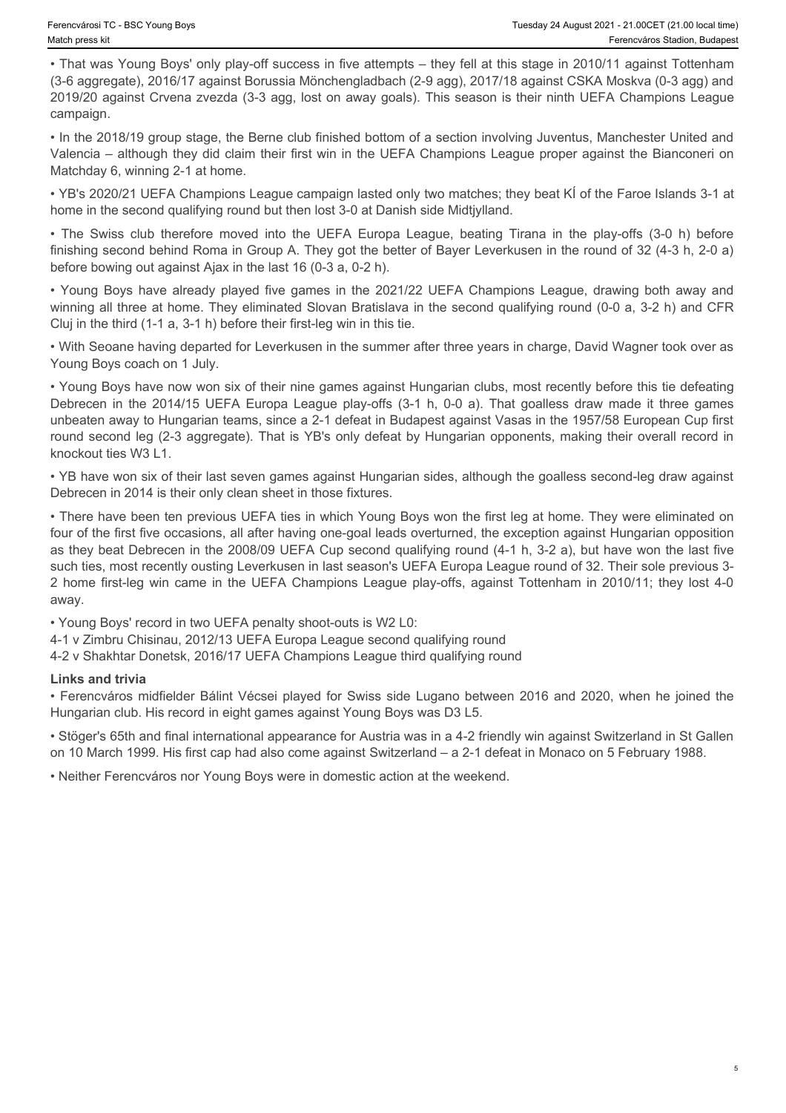• That was Young Boys' only play-off success in five attempts – they fell at this stage in 2010/11 against Tottenham (3-6 aggregate), 2016/17 against Borussia Mönchengladbach (2-9 agg), 2017/18 against CSKA Moskva (0-3 agg) and 2019/20 against Crvena zvezda (3-3 agg, lost on away goals). This season is their ninth UEFA Champions League campaign. Fremovinsi TC - BSC Young Boys<br>
Tuesday 24 August 2021 - 21 000ET (21.00 local time)<br>
• That was Young Boys' only play-off success in five attempts – they fell at this stage in 2010/11 against Totenham<br>
• That Swass (3-3

• In the 2018/19 group stage, the Berne club finished bottom of a section involving Juventus, Manchester United and Valencia – although they did claim their first win in the UEFA Champions League proper against the Bianconeri on Matchday 6, winning 2-1 at home.

• YB's 2020/21 UEFA Champions League campaign lasted only two matches; they beat KÍ of the Faroe Islands 3-1 at home in the second qualifying round but then lost 3-0 at Danish side Midtjylland.

finishing second behind Roma in Group A. They got the better of Bayer Leverkusen in the round of 32 (4-3 h, 2-0 a) before bowing out against Ajax in the last 16 (0-3 a, 0-2 h).

winning all three at home. They eliminated Slovan Bratislava in the second qualifying round (0-0 a, 3-2 h) and CFR Cluj in the third (1-1 a, 3-1 h) before their first-leg win in this tie.

• With Seoane having departed for Leverkusen in the summer after three years in charge, David Wagner took over as Young Boys coach on 1 July.

• Tuesday 84 August 2021-22 solocal times interest in the Test also also also also also also the Colocal time<br>
• That was Young Boys' only play-off success in five altempts – they fell at this stage in 2010111 against Tot • Young Boys have now won six of their nine games against Hungarian clubs, most recently before this tie defeating Tuesday 32 882Young lays<br>
The was all the 2014/15 Uest of the 2014/15 Uest of the 2014/16 Uest of the 2014/16 Uest of the 2014/16 Uest of the 2014/18 Uest of the 2014/18 Uest of the 2014/18 Uest of the 2014/18 Uest of the unbeaten away to Hungarian teams, since a 2-1 defeat in Budapest against Vasas in the 1957/58 European Cup first round second leg (2-3 aggregate). That is YB's only defeat by Hungarian opponents, making their overall record in knockout ties W3 L1.

• YB have won six of their last seven games against Hungarian sides, although the goalless second-leg draw against Debrecen in 2014 is their only clean sheet in those fixtures.

• There have been ten previous UEFA ties in which Young Boys won the first leg at home. They were eliminated on four of the first five occasions, all after having one-goal leads overturned, the exception against Hungarian opposition as they beat Debrecen in the 2008/09 UEFA Cup second qualifying round (4-1 h, 3-2 a), but have won the last five such ties, most recently ousting Leverkusen in last season's UEFA Europa League round of 32. Their sole previous 3- Xevexical 32. 186/ Yound Boyd only play-off success in five attempts - they fell at this stage in 2010/11 spainst Tottenham in the UEFA Champions League 2010/11 spainst Champions League 2010/11; the UEFA Champions League away.

• Young Boys' record in two UEFA penalty shoot-outs is W2 L0:

4-1 v Zimbru Chisinau, 2012/13 UEFA Europa League second qualifying round

4-2 v Shakhtar Donetsk, 2016/17 UEFA Champions League third qualifying round

#### **Links and trivia**

• Ferencváros midfielder Bálint Vécsei played for Swiss side Lugano between 2016 and 2020, when he joined the Hungarian club. His record in eight games against Young Boys was D3 L5.

• Stöger's 65th and final international appearance for Austria was in a 4-2 friendly win against Switzerland in St Gallen on 10 March 1999. His first cap had also come against Switzerland – a 2-1 defeat in Monaco on 5 February 1988.

• Neither Ferencváros nor Young Boys were in domestic action at the weekend.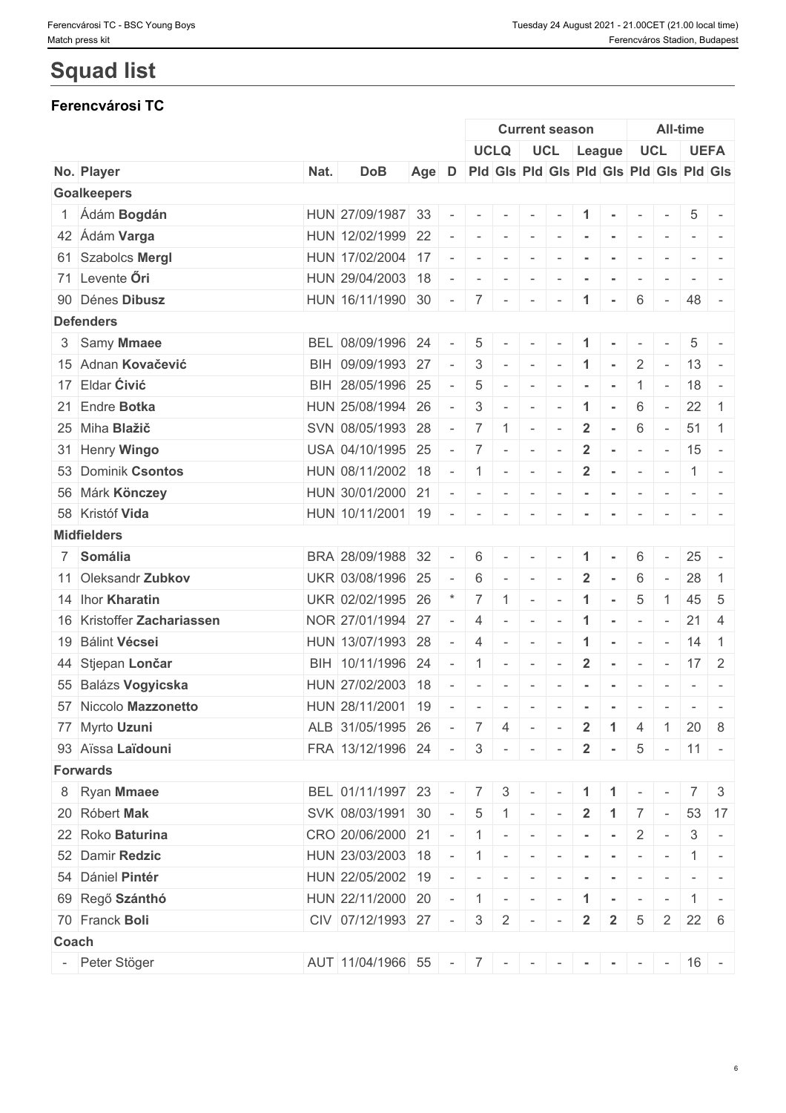#### Ferencvárosi TC - BSC Young Boys Tuesday 24 August 2021 - 21.00CET (21.00 local time) Match press kit Ferencváros Stadion, Budapest

# **Squad list**

# **Ferencvárosi TC**

|       |                            |      |                                            |                                               |                          |                                                                                   |              |                          | <b>Current season</b>    |                          |                |                          |                          | <b>All-time</b> |                                                                                                                           |
|-------|----------------------------|------|--------------------------------------------|-----------------------------------------------|--------------------------|-----------------------------------------------------------------------------------|--------------|--------------------------|--------------------------|--------------------------|----------------|--------------------------|--------------------------|-----------------|---------------------------------------------------------------------------------------------------------------------------|
|       |                            |      |                                            |                                               |                          |                                                                                   | <b>UCLQ</b>  |                          | UCL League               |                          |                |                          | UCL                      |                 | <b>UEFA</b>                                                                                                               |
|       | No. Player                 | Nat. | <b>DoB</b>                                 | Age D Pid Gis Pid Gis Pid Gis Pid Gis Pid Gis |                          |                                                                                   |              |                          |                          |                          |                |                          |                          |                 |                                                                                                                           |
|       | <b>Goalkeepers</b>         |      |                                            |                                               |                          |                                                                                   |              |                          |                          |                          |                |                          |                          |                 |                                                                                                                           |
|       | 1 Ádám Bogdán              |      | HUN 27/09/1987 33                          |                                               |                          | $\sim$                                                                            | $\sim$       | $\overline{\phantom{a}}$ |                          |                          |                |                          |                          | 5               |                                                                                                                           |
|       | 42 Ádám Varga              |      | HUN 12/02/1999 22                          |                                               |                          |                                                                                   | $\sim$       | $\sim$                   |                          |                          |                | $\sim$                   |                          |                 |                                                                                                                           |
|       | 61 Szabolcs Mergl          |      | HUN 17/02/2004 17                          |                                               |                          | $\overline{\phantom{a}}$                                                          | $\sim$       | $\overline{\phantom{a}}$ |                          |                          |                |                          |                          |                 |                                                                                                                           |
|       | 71 Levente Öri             |      | HUN 29/04/2003 18                          |                                               |                          | $\overline{\phantom{a}}$                                                          | $\sim$       | $\sim$                   |                          | $\overline{\phantom{a}}$ | $\sim$         | $\overline{\phantom{a}}$ | $\overline{\phantom{a}}$ | $-1$            |                                                                                                                           |
|       | 90 Dénes Dibusz            |      | HUN 16/11/1990 30                          |                                               |                          | $7\overline{ }$                                                                   | $\sim$       | $\sim$                   |                          | $\blacktriangleleft$     |                | 6                        | $\sim$                   | 48 -            |                                                                                                                           |
|       | <b>Defenders</b>           |      |                                            |                                               |                          |                                                                                   |              |                          |                          |                          |                |                          |                          |                 |                                                                                                                           |
|       | 3 Samy Mmaee               |      | BEL 08/09/1996 24                          |                                               |                          | 5                                                                                 |              |                          |                          |                          |                |                          |                          | 5               |                                                                                                                           |
|       | 15 Adnan Kovačević         |      | BIH 09/09/1993 27                          |                                               |                          | 3                                                                                 | $\sim$       | $\sim$                   | $\sim$                   | $\blacktriangleleft$     | $\sim$         | $\overline{2}$           | $\sim$                   | $13 -$          |                                                                                                                           |
|       | 17 Eldar Ćivić             |      | BIH 28/05/1996 25                          |                                               |                          | 5                                                                                 |              | $\overline{\phantom{a}}$ |                          |                          |                | -1                       | $\overline{\phantom{a}}$ | $18 -$          |                                                                                                                           |
|       | 21 Endre Botka             |      | HUN 25/08/1994 26                          |                                               | $\overline{\phantom{a}}$ | 3                                                                                 |              | $\overline{\phantom{a}}$ |                          | -1                       |                | 6                        | $\sim$                   | $22 \mid 1$     |                                                                                                                           |
|       | 25 Miha Blažič             |      | SVN 08/05/1993 28                          |                                               | $\overline{\phantom{a}}$ | $\overline{7}$                                                                    | $\mathbf{1}$ | $\sim$                   |                          | $\overline{2}$           | $\sim$         | 6                        | $\sim$                   | 51              | $\vert$ 1                                                                                                                 |
|       | 31 Henry Wingo             |      | USA 04/10/1995 25                          |                                               |                          | 7                                                                                 | $\sim$       | $\overline{\phantom{a}}$ | $\overline{\phantom{a}}$ | $\overline{2}$           | $\sim$         | $\sim$                   | $\sim$                   | $15 -$          |                                                                                                                           |
|       | 53 Dominik Csontos         |      | HUN 08/11/2002 18                          |                                               | $\sim$                   | $\overline{1}$                                                                    | $\sim$       | $\sim$                   |                          | $\overline{2}$           | $\sim$         | $\sim$                   | $\overline{\phantom{a}}$ |                 | $1 -$                                                                                                                     |
|       | 56 Márk Könczey            |      | HUN 30/01/2000 21                          |                                               | $\sim$                   | $\sim$                                                                            | $\mathbf{r}$ | $\sim$                   | $\sim$                   | $\sim$                   | $\sim$         | $\sim$                   | $\sim$                   |                 |                                                                                                                           |
|       | 58 Kristóf Vida            |      | HUN 10/11/2001 19                          |                                               |                          |                                                                                   | $\sim$       | $\overline{\phantom{a}}$ |                          |                          |                | $\overline{\phantom{a}}$ |                          |                 |                                                                                                                           |
|       | <b>Midfielders</b>         |      |                                            |                                               |                          |                                                                                   |              |                          |                          |                          |                |                          |                          |                 |                                                                                                                           |
|       | 7 Somália                  |      | BRA 28/09/1988 32                          |                                               |                          | 6                                                                                 |              |                          |                          |                          |                | 6                        |                          | $25 -$          |                                                                                                                           |
|       | 11 Oleksandr Zubkov        |      | UKR 03/08/1996 25                          |                                               |                          | 6                                                                                 | $\sim$       | $\sim$                   |                          | $\overline{2}$           |                | 6                        | $\sim$                   | 28              | $\overline{1}$                                                                                                            |
|       | 14 Ihor Kharatin           |      | UKR 02/02/1995 26                          |                                               |                          | $\overline{7}$                                                                    |              | $\sim$                   | $\overline{\phantom{a}}$ | $\blacktriangleleft$     | $\sim$         | 5                        | 1                        |                 | 45 5                                                                                                                      |
|       | 16 Kristoffer Zachariassen |      | NOR 27/01/1994 27                          |                                               | $\overline{\phantom{a}}$ | $\overline{4}$                                                                    | $\sim$       | $\sim$                   |                          |                          | $\sim$         | $\sim$                   | $\overline{\phantom{a}}$ | 21              | -4                                                                                                                        |
|       | 19 Bálint Vécsei           |      | HUN 13/07/1993 28                          |                                               |                          | $\overline{4}$                                                                    | $\sim$       | $\sim$                   | $\overline{\phantom{a}}$ | $\mathbf{1}$             | $\sim$         | $\sim$                   | $\sim$                   | $14 \quad 1$    |                                                                                                                           |
|       | 44 Stjepan Lončar          |      | BIH 10/11/1996 24                          |                                               | $\overline{\phantom{a}}$ | $\overline{1}$                                                                    | $\sim$       | $\sim$                   | $\overline{\phantom{a}}$ | $\overline{2}$           | $\sim$         | $\sim$                   | $\sim$                   | $17 \quad 2$    |                                                                                                                           |
|       | 55 Balázs Vogyicska        |      | HUN 27/02/2003 18                          |                                               |                          | $\overline{\phantom{a}}$                                                          |              | $\overline{\phantom{a}}$ |                          |                          |                | $\overline{\phantom{a}}$ |                          |                 | $\frac{1}{2} \left( \frac{1}{2} \right) \left( \frac{1}{2} \right) \left( \frac{1}{2} \right) \left( \frac{1}{2} \right)$ |
|       | 57 Niccolo Mazzonetto      |      | HUN 28/11/2001 19                          |                                               |                          | $\sim$                                                                            | $\sim$       | $\sim$                   | $\sim$                   | $\blacksquare$           | $\sim$         | $\sim$                   | $\sim$                   |                 | $-1$                                                                                                                      |
|       | 77 Myrto Uzuni             |      | ALB 31/05/1995 26                          |                                               |                          |                                                                                   |              | $4 -$                    |                          |                          |                |                          | $\pm$ 1 $\pm$            |                 | $20 \mid 8$                                                                                                               |
|       |                            |      |                                            |                                               |                          | $-71$                                                                             |              |                          | $\sim$                   | $\overline{2}$           | $-1$           | 4                        |                          |                 |                                                                                                                           |
|       | 93 Aïssa Laïdouni          |      | FRA 13/12/1996 24                          |                                               |                          | $-3$ $ -$                                                                         |              |                          | $\mathbf{r}$             | $\overline{2}$           | $\sim$         |                          | $5 - 11 -$               |                 |                                                                                                                           |
|       | <b>Forwards</b>            |      |                                            |                                               |                          |                                                                                   |              |                          |                          |                          |                |                          |                          |                 |                                                                                                                           |
|       | 8 Ryan Mmaee               |      | BEL 01/11/1997 23                          |                                               |                          |                                                                                   |              |                          | $-$ 7 3 - - 1 1          |                          |                |                          |                          |                 | 7 3                                                                                                                       |
|       | 20 Róbert Mak              |      | SVK 08/03/1991 30                          |                                               |                          | $-15$                                                                             |              | $1 -$                    | $\sim$                   | $\overline{2}$           | $\overline{1}$ |                          | $7 -$                    |                 | 53 17                                                                                                                     |
|       | 22 Roko Baturina           |      | $CRO$ 20/06/2000 21 - 1 -                  |                                               |                          |                                                                                   |              |                          | $\sim$                   | $\sim$                   | $\sim$         | $2$ -                    |                          |                 | $3 -$                                                                                                                     |
|       | 52 Damir Redzic            |      | HUN 23/03/2003 18                          |                                               |                          |                                                                                   |              |                          |                          |                          |                |                          |                          |                 | $1 -$                                                                                                                     |
|       | 54 Dániel Pintér           |      | HUN 22/05/2002 19                          |                                               |                          | $\frac{1}{2} \left( \frac{1}{2} \right) \left( \frac{1}{2} \right) = \frac{1}{2}$ | $\sim$       | $\sim$                   |                          |                          |                |                          |                          |                 | $ -$                                                                                                                      |
|       | 69 Regő Szánthó            |      | HUN 22/11/2000 20                          |                                               |                          | $-1 - -$                                                                          |              |                          | $\sim$                   | $\mathbf{1}$             | $\sim$         | $\sim$                   | $\sim$                   |                 | $1 -$                                                                                                                     |
|       | 70 Franck Boli             |      | $CIV$ 07/12/1993 27 - 3 2 -                |                                               |                          |                                                                                   |              |                          | $\sim$                   | $\overline{2}$           | $\frac{1}{2}$  |                          | $5 \quad 2$              | $22 \mid 6$     |                                                                                                                           |
| Coach |                            |      |                                            |                                               |                          |                                                                                   |              |                          |                          |                          |                |                          |                          |                 |                                                                                                                           |
|       | Peter Stöger               |      | AUT 11/04/1966 55 - 7 - - - - - - - - 16 - |                                               |                          |                                                                                   |              |                          |                          |                          |                |                          |                          |                 |                                                                                                                           |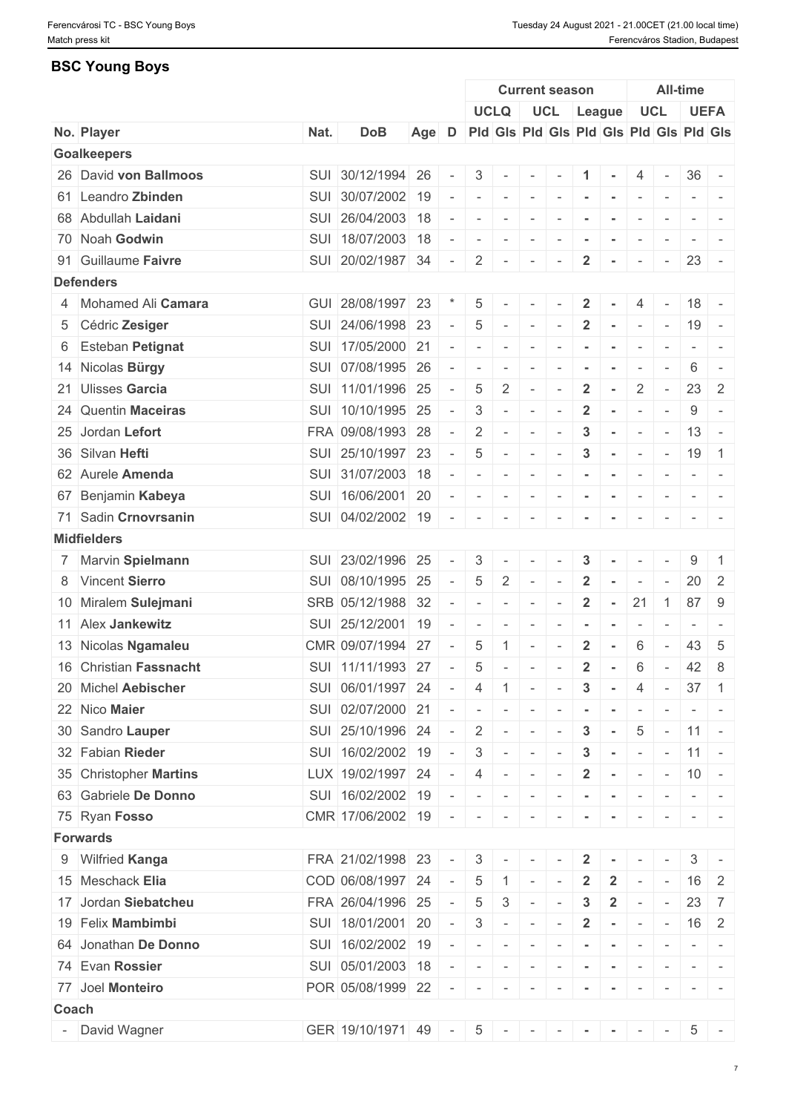## **BSC Young Boys**

|       |                        |      |                       |       |                          |                          |                          |                          | <b>Current season</b>                                                           |                         |                                                                                                                                                                                                        |                          |                          | <b>All-time</b>                                                                                                                                                                                                                                                                                                                                                                                                                                                                        |                                                                                                              |
|-------|------------------------|------|-----------------------|-------|--------------------------|--------------------------|--------------------------|--------------------------|---------------------------------------------------------------------------------|-------------------------|--------------------------------------------------------------------------------------------------------------------------------------------------------------------------------------------------------|--------------------------|--------------------------|----------------------------------------------------------------------------------------------------------------------------------------------------------------------------------------------------------------------------------------------------------------------------------------------------------------------------------------------------------------------------------------------------------------------------------------------------------------------------------------|--------------------------------------------------------------------------------------------------------------|
|       |                        |      |                       |       |                          |                          | <b>UCLQ</b>              |                          | UCL League                                                                      |                         |                                                                                                                                                                                                        |                          | <b>UCL</b>               |                                                                                                                                                                                                                                                                                                                                                                                                                                                                                        | <b>UEFA</b>                                                                                                  |
|       | No. Player             | Nat. | <b>DoB</b>            | Age D |                          |                          |                          |                          | Pid Gis Pid Gis Pid Gis Pid Gis Pid Gis                                         |                         |                                                                                                                                                                                                        |                          |                          |                                                                                                                                                                                                                                                                                                                                                                                                                                                                                        |                                                                                                              |
|       | <b>Goalkeepers</b>     |      |                       |       |                          |                          |                          |                          |                                                                                 |                         |                                                                                                                                                                                                        |                          |                          |                                                                                                                                                                                                                                                                                                                                                                                                                                                                                        |                                                                                                              |
|       | 26 David von Ballmoos  | SUI  | 30/12/1994 26         |       | $\overline{\phantom{a}}$ | 3                        | $\sim$                   | $\sim$                   |                                                                                 |                         |                                                                                                                                                                                                        | 4                        | $\sim$                   | $36 -$                                                                                                                                                                                                                                                                                                                                                                                                                                                                                 |                                                                                                              |
|       | 61 Leandro Zbinden     |      | SUI 30/07/2002 19     |       |                          |                          |                          | $\overline{\phantom{a}}$ |                                                                                 |                         | $\sim$                                                                                                                                                                                                 | $\overline{\phantom{a}}$ |                          |                                                                                                                                                                                                                                                                                                                                                                                                                                                                                        |                                                                                                              |
|       | 68 Abdullah Laidani    |      | SUI 26/04/2003 18     |       |                          | $\overline{\phantom{a}}$ | $\overline{\phantom{a}}$ | $\overline{\phantom{a}}$ |                                                                                 |                         |                                                                                                                                                                                                        |                          |                          | $\sim$                                                                                                                                                                                                                                                                                                                                                                                                                                                                                 |                                                                                                              |
|       | 70 Noah Godwin         |      | SUI 18/07/2003 18     |       |                          | $\overline{\phantom{a}}$ | $\sim$                   | $\sim$                   |                                                                                 | $\blacksquare$          | $\sim$                                                                                                                                                                                                 | $\overline{\phantom{a}}$ | $\sim$                   | $\sim$                                                                                                                                                                                                                                                                                                                                                                                                                                                                                 |                                                                                                              |
|       | 91 Guillaume Faivre    |      | SUI 20/02/1987 34     |       | $\overline{\phantom{a}}$ | $\overline{2}$           | $\sim$                   | $\sim$                   | $\overline{\phantom{a}}$                                                        | $\overline{2}$          | $\sim$                                                                                                                                                                                                 | $\overline{\phantom{a}}$ | $\sim$                   | 23                                                                                                                                                                                                                                                                                                                                                                                                                                                                                     | $\sim$                                                                                                       |
|       | <b>Defenders</b>       |      |                       |       |                          |                          |                          |                          |                                                                                 |                         |                                                                                                                                                                                                        |                          |                          |                                                                                                                                                                                                                                                                                                                                                                                                                                                                                        |                                                                                                              |
|       | 4 Mohamed Ali Camara   |      | GUI 28/08/1997 23     |       |                          | 5                        |                          | $\overline{\phantom{a}}$ |                                                                                 | $\overline{2}$          |                                                                                                                                                                                                        | 4                        |                          | $18 -$                                                                                                                                                                                                                                                                                                                                                                                                                                                                                 |                                                                                                              |
|       | 5 Cédric Zesiger       |      | SUI 24/06/1998 23     |       |                          | 5                        | $\sim$                   | $\sim$                   | $\sim$                                                                          | $\overline{2}$          | $\sim$ $ \sim$                                                                                                                                                                                         |                          | $\sim$ $-$               | $19 -$                                                                                                                                                                                                                                                                                                                                                                                                                                                                                 |                                                                                                              |
|       | 6 Esteban Petignat     |      | SUI 17/05/2000 21     |       |                          |                          |                          | $\overline{\phantom{a}}$ |                                                                                 |                         |                                                                                                                                                                                                        |                          |                          | $\sim$                                                                                                                                                                                                                                                                                                                                                                                                                                                                                 |                                                                                                              |
|       | 14 Nicolas Bürgy       | SUI  | 07/08/1995 26         |       |                          |                          |                          | $\overline{\phantom{a}}$ |                                                                                 |                         |                                                                                                                                                                                                        |                          |                          | 6                                                                                                                                                                                                                                                                                                                                                                                                                                                                                      |                                                                                                              |
|       | 21 Ulisses Garcia      |      | SUI 11/01/1996 25     |       |                          | 5                        | 2                        | $\overline{\phantom{a}}$ |                                                                                 | $\overline{2}$          | $\blacksquare$                                                                                                                                                                                         | $\overline{2}$           | $\overline{\phantom{a}}$ |                                                                                                                                                                                                                                                                                                                                                                                                                                                                                        | $23 \mid 2$                                                                                                  |
|       | 24 Quentin Maceiras    |      | SUI   10/10/1995   25 |       |                          | $\mathfrak{S}$           |                          | $\sim$                   |                                                                                 | $\overline{2}$          |                                                                                                                                                                                                        | $\overline{\phantom{a}}$ | $\sim$                   | 9                                                                                                                                                                                                                                                                                                                                                                                                                                                                                      | $\equiv$                                                                                                     |
|       | 25 Jordan Lefort       |      | FRA 09/08/1993 28     |       | $\equiv$                 | $\overline{2}$           |                          | $\sim$                   |                                                                                 | $\mathbf{3}$            | $\sim$                                                                                                                                                                                                 | $\overline{\phantom{a}}$ | $\overline{\phantom{a}}$ | 13                                                                                                                                                                                                                                                                                                                                                                                                                                                                                     | $\sim$                                                                                                       |
|       | 36 Silvan Hefti        |      | SUI 25/10/1997 23     |       |                          | 5                        |                          |                          |                                                                                 | 3                       |                                                                                                                                                                                                        |                          | $\sim$                   | 19                                                                                                                                                                                                                                                                                                                                                                                                                                                                                     | $\overline{1}$                                                                                               |
|       | 62 Aurele Amenda       |      | SUI 31/07/2003 18     |       |                          |                          | $\sim$                   | $\sim$                   | $\overline{\phantom{a}}$                                                        |                         | $\sim$                                                                                                                                                                                                 | $\sim$                   |                          |                                                                                                                                                                                                                                                                                                                                                                                                                                                                                        |                                                                                                              |
|       |                        |      |                       |       |                          | $\overline{\phantom{a}}$ | $\sim$                   | $\sim$                   | $\sim$                                                                          | $\sim$                  | $\sim$                                                                                                                                                                                                 | $\sim$                   | $\sim$                   |                                                                                                                                                                                                                                                                                                                                                                                                                                                                                        | $\mathcal{L} = \{ \mathcal{L} \mid \mathcal{L} = \mathcal{L} \}$                                             |
|       | 67 Benjamin Kabeya     |      | SUI 16/06/2001 20     |       |                          | $\overline{\phantom{a}}$ | $\overline{\phantom{a}}$ | $\sim$                   |                                                                                 |                         |                                                                                                                                                                                                        | $\overline{\phantom{a}}$ |                          |                                                                                                                                                                                                                                                                                                                                                                                                                                                                                        |                                                                                                              |
|       | 71 Sadin Crnovrsanin   |      | SUI 04/02/2002 19     |       | $\sim$                   | $\sim$                   | $\sim$                   | $\sim$                   | $\overline{\phantom{a}}$                                                        | $\blacksquare$          | $\sim$                                                                                                                                                                                                 | $\overline{\phantom{a}}$ | $\sim$                   | $ -$                                                                                                                                                                                                                                                                                                                                                                                                                                                                                   |                                                                                                              |
|       | <b>Midfielders</b>     |      |                       |       |                          |                          |                          |                          |                                                                                 |                         |                                                                                                                                                                                                        |                          |                          |                                                                                                                                                                                                                                                                                                                                                                                                                                                                                        |                                                                                                              |
|       | 7 Marvin Spielmann     |      | SUI 23/02/1996 25     |       |                          | 3                        |                          | $\overline{\phantom{a}}$ |                                                                                 | 3                       |                                                                                                                                                                                                        |                          |                          | 9                                                                                                                                                                                                                                                                                                                                                                                                                                                                                      | $\overline{1}$                                                                                               |
|       | 8 Vincent Sierro       | SUI  | 08/10/1995 25         |       | $\overline{\phantom{a}}$ | 5                        | 2                        | $\overline{\phantom{a}}$ |                                                                                 | $\overline{2}$          |                                                                                                                                                                                                        | $\overline{\phantom{a}}$ | $\overline{\phantom{a}}$ | 20                                                                                                                                                                                                                                                                                                                                                                                                                                                                                     | 2                                                                                                            |
|       | 10 Miralem Sulejmani   |      | SRB 05/12/1988 32     |       |                          | $\overline{\phantom{a}}$ | $\sim$                   | $\overline{\phantom{a}}$ |                                                                                 | $\overline{\mathbf{2}}$ | $\sim$                                                                                                                                                                                                 | 21                       | $\overline{1}$           |                                                                                                                                                                                                                                                                                                                                                                                                                                                                                        | 87 9                                                                                                         |
|       | 11 Alex Jankewitz      |      | SUI 25/12/2001 19     |       |                          | $\sim$                   | $\sim$                   | $\overline{\phantom{a}}$ | $\overline{\phantom{a}}$                                                        | $\blacksquare$          | $\sim$                                                                                                                                                                                                 | $\overline{\phantom{a}}$ | $\overline{\phantom{a}}$ | $\sim$ 100 $\pm$                                                                                                                                                                                                                                                                                                                                                                                                                                                                       | $\sim$                                                                                                       |
|       | 13 Nicolas Ngamaleu    |      | CMR 09/07/1994 27     |       |                          | 5                        |                          | $\overline{\phantom{a}}$ |                                                                                 | $\overline{2}$          |                                                                                                                                                                                                        | 6                        |                          | 43                                                                                                                                                                                                                                                                                                                                                                                                                                                                                     | -5                                                                                                           |
|       | 16 Christian Fassnacht |      | SUI 11/11/1993 27     |       |                          | 5                        | $\overline{\phantom{a}}$ | $\overline{\phantom{a}}$ | $\overline{\phantom{a}}$                                                        | $\overline{2}$          | $\sim$                                                                                                                                                                                                 | 6                        | $\sim$                   | 42                                                                                                                                                                                                                                                                                                                                                                                                                                                                                     | 8                                                                                                            |
|       | 20 Michel Aebischer    |      | SUI 06/01/1997 24     |       |                          | 4                        | $1 -$                    |                          | $\sim$                                                                          | $\mathbf{3}$            | $\sim$                                                                                                                                                                                                 | 4                        | $\sim$                   | $37 \quad 1$                                                                                                                                                                                                                                                                                                                                                                                                                                                                           |                                                                                                              |
|       | 22 Nico Maier          |      | SUI 02/07/2000 21     |       |                          | $\overline{\phantom{a}}$ |                          |                          |                                                                                 |                         |                                                                                                                                                                                                        |                          |                          |                                                                                                                                                                                                                                                                                                                                                                                                                                                                                        |                                                                                                              |
|       | 30 Sandro Lauper       |      | SUI 25/10/1996 24     |       | $\overline{\phantom{a}}$ | $\overline{2}$           | $\sim$                   | $\sim$                   | $\overline{\phantom{a}}$                                                        | $\mathbf{3}$            | $\sim$                                                                                                                                                                                                 | 5                        | $\sim$ $-$               | $11 -$                                                                                                                                                                                                                                                                                                                                                                                                                                                                                 |                                                                                                              |
|       | 32 Fabian Rieder       |      | SUI 16/02/2002 19     |       |                          | $\mathbf{3}$             | $\sim$                   | $\sim$                   |                                                                                 | $\mathbf{3}$            | $\sim$                                                                                                                                                                                                 | $\sim$                   | $\sim$                   | $11 -$                                                                                                                                                                                                                                                                                                                                                                                                                                                                                 |                                                                                                              |
|       | 35 Christopher Martins |      | LUX 19/02/1997 24     |       |                          | 4                        | $\sim$                   | $\sim$                   | $\sim$                                                                          | $\overline{\mathbf{2}}$ | $\sim$                                                                                                                                                                                                 | $\sim$                   | $\sim$                   | $10 -$                                                                                                                                                                                                                                                                                                                                                                                                                                                                                 |                                                                                                              |
|       | 63 Gabriele De Donno   |      | SUI 16/02/2002 19     |       |                          | $\overline{\phantom{a}}$ | $\overline{\phantom{a}}$ | $\sim$                   |                                                                                 |                         |                                                                                                                                                                                                        |                          |                          |                                                                                                                                                                                                                                                                                                                                                                                                                                                                                        |                                                                                                              |
|       | 75 Ryan Fosso          |      | CMR 17/06/2002 19     |       | $\overline{\phantom{a}}$ | $\sim$                   | $\sim$                   | $\sim$                   |                                                                                 |                         | $\sim$                                                                                                                                                                                                 | $\overline{\phantom{a}}$ |                          | $ -$                                                                                                                                                                                                                                                                                                                                                                                                                                                                                   |                                                                                                              |
|       | <b>Forwards</b>        |      |                       |       |                          |                          |                          |                          |                                                                                 |                         |                                                                                                                                                                                                        |                          |                          |                                                                                                                                                                                                                                                                                                                                                                                                                                                                                        |                                                                                                              |
|       | 9 Wilfried Kanga       |      | FRA 21/02/1998 23     |       |                          | 3                        |                          |                          |                                                                                 | $\mathbf{2}$            |                                                                                                                                                                                                        |                          |                          | 3                                                                                                                                                                                                                                                                                                                                                                                                                                                                                      |                                                                                                              |
|       | 15 Meschack Elia       |      | COD 06/08/1997 24     |       |                          | 5                        |                          |                          |                                                                                 | $\overline{2}$          | $\overline{2}$                                                                                                                                                                                         |                          |                          |                                                                                                                                                                                                                                                                                                                                                                                                                                                                                        | $16 \quad 2$                                                                                                 |
|       | 17 Jordan Siebatcheu   |      |                       |       |                          |                          |                          | $\sim$                   |                                                                                 |                         |                                                                                                                                                                                                        |                          |                          |                                                                                                                                                                                                                                                                                                                                                                                                                                                                                        |                                                                                                              |
|       |                        |      | FRA 26/04/1996 25     |       |                          | $\overline{5}$           | 3                        | $\sim$                   | $\overline{\phantom{a}}$                                                        | $\mathbf{3}$            | $\overline{2}$                                                                                                                                                                                         | $\sim$                   | $\sim$                   | 23                                                                                                                                                                                                                                                                                                                                                                                                                                                                                     | $\overline{7}$                                                                                               |
|       | 19 Felix Mambimbi      |      | SUI 18/01/2001 20     |       | $\overline{\phantom{a}}$ | 3                        | $\sim$                   | $\sim$                   | $\sim$                                                                          | $\overline{2}$          | $\sim$                                                                                                                                                                                                 | $\sim$                   | $\sim$                   |                                                                                                                                                                                                                                                                                                                                                                                                                                                                                        | $16 \quad 2$                                                                                                 |
|       | 64 Jonathan De Donno   |      | SUI 16/02/2002 19     |       |                          | $\sim$                   | $\sim$                   | $\sim$                   | $\overline{\phantom{a}}$                                                        |                         | $\sim$                                                                                                                                                                                                 | $\sim$                   | $\sim$                   |                                                                                                                                                                                                                                                                                                                                                                                                                                                                                        | $\frac{1}{2} \left( \frac{1}{2} \right) \left( \frac{1}{2} \right) = \frac{1}{2} \left( \frac{1}{2} \right)$ |
|       | 74 Evan Rossier        |      | SUI 05/01/2003 18     |       |                          | $\sim$                   |                          |                          | $\mathcal{L}^{\mathcal{A}}(\mathcal{A})=\mathcal{L}^{\mathcal{A}}(\mathcal{A})$ | $\sim$                  | $\mathcal{L}^{\mathcal{A}}\left( \mathcal{A}^{\mathcal{A}}\right) =\mathcal{L}^{\mathcal{A}}\left( \mathcal{A}^{\mathcal{A}}\right) =\mathcal{L}^{\mathcal{A}}\left( \mathcal{A}^{\mathcal{A}}\right)$ |                          |                          | $\begin{array}{cccccccccccccc} \multicolumn{2}{c}{} & \multicolumn{2}{c}{} & \multicolumn{2}{c}{} & \multicolumn{2}{c}{} & \multicolumn{2}{c}{} & \multicolumn{2}{c}{} & \multicolumn{2}{c}{} & \multicolumn{2}{c}{} & \multicolumn{2}{c}{} & \multicolumn{2}{c}{} & \multicolumn{2}{c}{} & \multicolumn{2}{c}{} & \multicolumn{2}{c}{} & \multicolumn{2}{c}{} & \multicolumn{2}{c}{} & \multicolumn{2}{c}{} & \multicolumn{2}{c}{} & \multicolumn{2}{c}{} & \multicolumn{2}{c}{} & \$ |                                                                                                              |
|       | 77 Joel Monteiro       |      | POR 05/08/1999 22     |       |                          | $\overline{\phantom{a}}$ |                          |                          |                                                                                 |                         |                                                                                                                                                                                                        |                          |                          |                                                                                                                                                                                                                                                                                                                                                                                                                                                                                        |                                                                                                              |
| Coach |                        |      |                       |       |                          |                          |                          |                          |                                                                                 |                         |                                                                                                                                                                                                        |                          |                          |                                                                                                                                                                                                                                                                                                                                                                                                                                                                                        |                                                                                                              |
|       | - David Wagner         |      | GER 19/10/1971 49 -   |       |                          |                          |                          |                          | $5$ $       -$                                                                  |                         |                                                                                                                                                                                                        |                          | $\sim 100$ km s $^{-1}$  |                                                                                                                                                                                                                                                                                                                                                                                                                                                                                        | $5 -$                                                                                                        |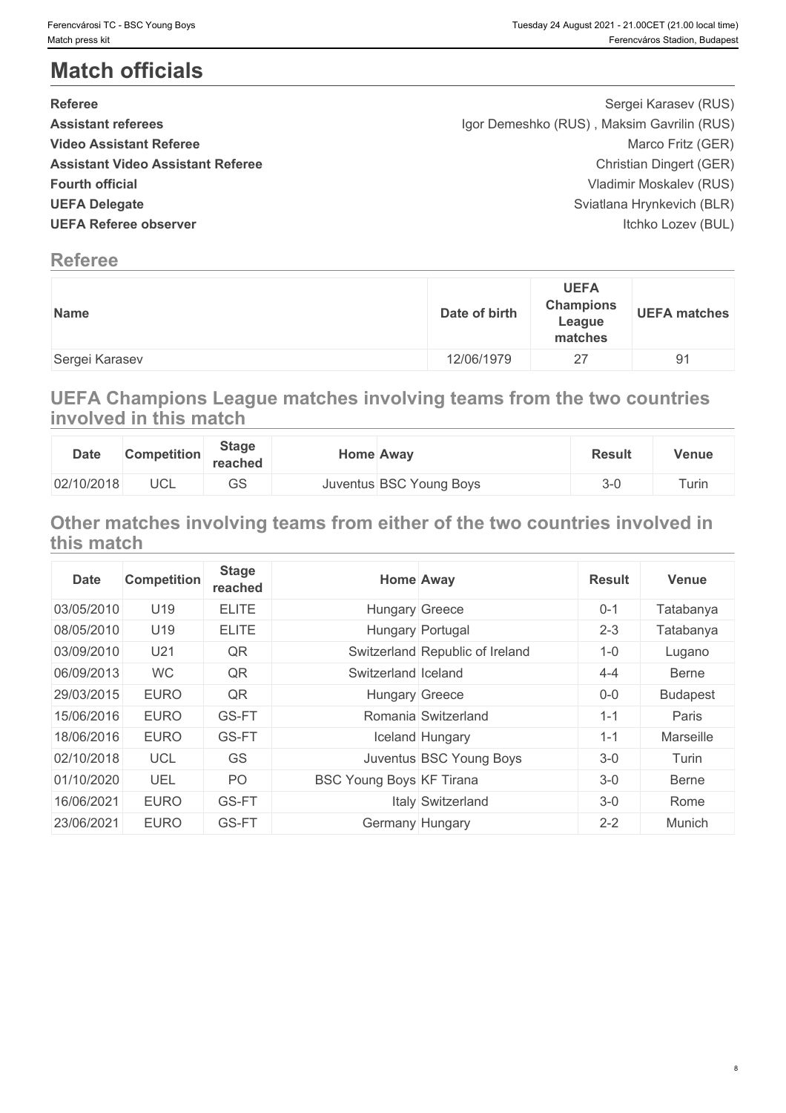# **Match officials**

| <b>Referee</b>                           | Sergei Karasev (RUS)                       |
|------------------------------------------|--------------------------------------------|
|                                          |                                            |
| <b>Assistant referees</b>                | Igor Demeshko (RUS), Maksim Gavrilin (RUS) |
| <b>Video Assistant Referee</b>           | Marco Fritz (GER)                          |
| <b>Assistant Video Assistant Referee</b> | Christian Dingert (GER)                    |
| <b>Fourth official</b>                   | Vladimir Moskalev (RUS)                    |
| <b>UEFA Delegate</b>                     | Sviatlana Hrynkevich (BLR)                 |
| <b>UEFA Referee observer</b>             | Itchko Lozev (BUL)                         |
|                                          |                                            |

# **Referee**

| Date of birth<br>Name | <b>UEFA</b><br><b>Champions</b><br><b>UEFA matches</b><br>League<br>matches |
|-----------------------|-----------------------------------------------------------------------------|
| 12/06/1979            | 91                                                                          |
| Sergei Karasev        | 27                                                                          |

**UEFA Champions League matches involving teams from the two countries involved in this match**

| <b>Date</b> | <b>Competition</b> | <b>Stage</b><br>reached | <b>Home Away</b> |                         | <b>Result</b> | Venue |
|-------------|--------------------|-------------------------|------------------|-------------------------|---------------|-------|
| 02/10/2018  | UCL                | $\cap$<br>სა            |                  | Juventus BSC Young Boys | $\sim$        | Turin |

# **Other matches involving teams from either of the two countries involved in this match**

| <b>Date</b> | <b>Competition</b> | <b>Stage</b><br>reached |                                 | <b>Home Away</b>                | <b>Result</b> | <b>Venue</b>    |
|-------------|--------------------|-------------------------|---------------------------------|---------------------------------|---------------|-----------------|
| 03/05/2010  | U19                | <b>ELITE</b>            | <b>Hungary Greece</b>           |                                 | $0 - 1$       | Tatabanya       |
| 08/05/2010  | U19                | <b>ELITE</b>            |                                 | Hungary Portugal                | $2 - 3$       | Tatabanya       |
| 03/09/2010  | U21                | QR                      |                                 | Switzerland Republic of Ireland | $1 - 0$       | Lugano          |
| 06/09/2013  | <b>WC</b>          | QR                      | Switzerland Iceland             |                                 | $4 - 4$       | Berne           |
| 29/03/2015  | <b>EURO</b>        | QR                      | Hungary Greece                  |                                 | $0-0$         | <b>Budapest</b> |
| 15/06/2016  | <b>EURO</b>        | GS-FT                   |                                 | Romania Switzerland             | $1 - 1$       | Paris           |
| 18/06/2016  | <b>EURO</b>        | GS-FT                   |                                 | Iceland Hungary                 | $1 - 1$       | Marseille       |
| 02/10/2018  | <b>UCL</b>         | <b>GS</b>               |                                 | Juventus BSC Young Boys         | $3-0$         | Turin           |
| 01/10/2020  | <b>UEL</b>         | PO                      | <b>BSC Young Boys KF Tirana</b> |                                 | $3-0$         | Berne           |
| 16/06/2021  | <b>EURO</b>        | GS-FT                   |                                 | Italy Switzerland               | $3-0$         | Rome            |
| 23/06/2021  | <b>EURO</b>        | GS-FT                   | Germany Hungary                 |                                 | $2 - 2$       | Munich          |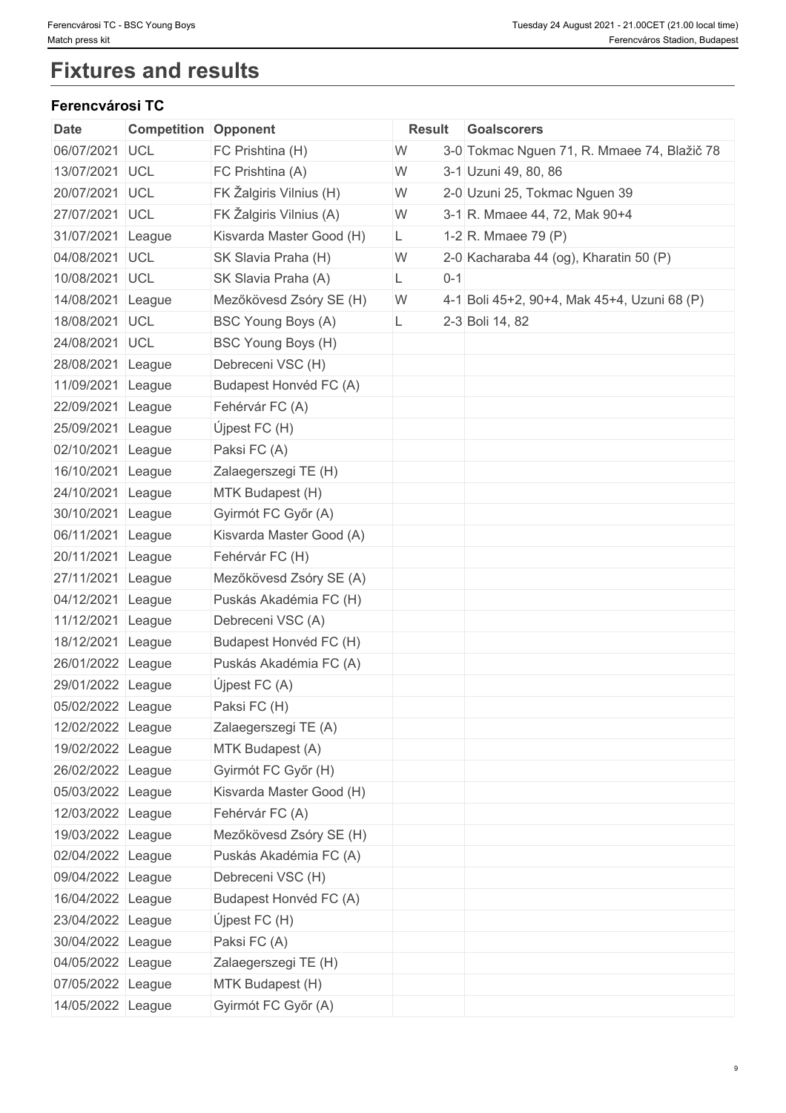# **Fixtures and results**

#### **Ferencvárosi TC**

| <b>Date</b>       | <b>Competition Opponent</b> |                           | <b>Result</b> |         | Goalscorers                                 |
|-------------------|-----------------------------|---------------------------|---------------|---------|---------------------------------------------|
| 06/07/2021 UCL    |                             | FC Prishtina (H)          | W             |         | 3-0 Tokmac Nguen 71, R. Mmaee 74, Blažič 78 |
| 13/07/2021        | UCL                         | FC Prishtina (A)          | W             |         | 3-1 Uzuni 49, 80, 86                        |
| 20/07/2021        | <b>UCL</b>                  | FK Žalgiris Vilnius (H)   | W             |         | 2-0 Uzuni 25, Tokmac Nguen 39               |
| 27/07/2021 UCL    |                             | FK Žalgiris Vilnius (A)   | W             |         | 3-1 R. Mmaee 44, 72, Mak 90+4               |
| 31/07/2021 League |                             | Kisvarda Master Good (H)  | L.            |         | 1-2 R. Mmaee 79 $(P)$                       |
| 04/08/2021 UCL    |                             | SK Slavia Praha (H)       | W             |         | 2-0 Kacharaba 44 (og), Kharatin 50 (P)      |
| 10/08/2021 UCL    |                             | SK Slavia Praha (A)       | L             | $0 - 1$ |                                             |
| 14/08/2021 League |                             | Mezőkövesd Zsóry SE (H)   | W             |         | 4-1 Boli 45+2, 90+4, Mak 45+4, Uzuni 68 (P) |
| 18/08/2021 UCL    |                             | <b>BSC Young Boys (A)</b> | L.            |         | 2-3 Boli 14, 82                             |
| 24/08/2021 UCL    |                             | BSC Young Boys (H)        |               |         |                                             |
| 28/08/2021 League |                             | Debreceni VSC (H)         |               |         |                                             |
| 11/09/2021        | League                      | Budapest Honvéd FC (A)    |               |         |                                             |
| 22/09/2021 League |                             | Fehérvár FC (A)           |               |         |                                             |
| 25/09/2021 League |                             | Újpest FC $(H)$           |               |         |                                             |
| 02/10/2021        | League                      | Paksi FC (A)              |               |         |                                             |
| 16/10/2021 League |                             | Zalaegerszegi TE (H)      |               |         |                                             |
| 24/10/2021 League |                             | MTK Budapest (H)          |               |         |                                             |
| 30/10/2021        | League                      | Gyirmót FC Győr (A)       |               |         |                                             |
| 06/11/2021 League |                             | Kisvarda Master Good (A)  |               |         |                                             |
| 20/11/2021        | League                      | Fehérvár FC (H)           |               |         |                                             |
| 27/11/2021 League |                             | Mezőkövesd Zsóry SE (A)   |               |         |                                             |
| 04/12/2021 League |                             | Puskás Akadémia FC (H)    |               |         |                                             |
| 11/12/2021        | League                      | Debreceni VSC (A)         |               |         |                                             |
| 18/12/2021 League |                             | Budapest Honvéd FC (H)    |               |         |                                             |
| 26/01/2022 League |                             | Puskás Akadémia FC (A)    |               |         |                                             |
| 29/01/2022 League |                             | Újpest FC $(A)$           |               |         |                                             |
| 05/02/2022 League |                             | Paksi FC (H)              |               |         |                                             |
| 12/02/2022 League |                             | Zalaegerszegi TE (A)      |               |         |                                             |
| 19/02/2022 League |                             | MTK Budapest (A)          |               |         |                                             |
| 26/02/2022 League |                             | Gyirmót FC Győr (H)       |               |         |                                             |
| 05/03/2022 League |                             | Kisvarda Master Good (H)  |               |         |                                             |
| 12/03/2022 League |                             | Fehérvár FC (A)           |               |         |                                             |
| 19/03/2022 League |                             | Mezőkövesd Zsóry SE (H)   |               |         |                                             |
| 02/04/2022 League |                             | Puskás Akadémia FC (A)    |               |         |                                             |
| 09/04/2022 League |                             | Debreceni VSC (H)         |               |         |                                             |
| 16/04/2022 League |                             | Budapest Honvéd FC (A)    |               |         |                                             |
| 23/04/2022 League |                             | Újpest FC $(H)$           |               |         |                                             |
| 30/04/2022 League |                             | Paksi FC (A)              |               |         |                                             |
| 04/05/2022 League |                             | Zalaegerszegi TE (H)      |               |         |                                             |
| 07/05/2022 League |                             | MTK Budapest (H)          |               |         |                                             |
| 14/05/2022 League |                             | Gyirmót FC Győr (A)       |               |         |                                             |
|                   |                             |                           |               |         |                                             |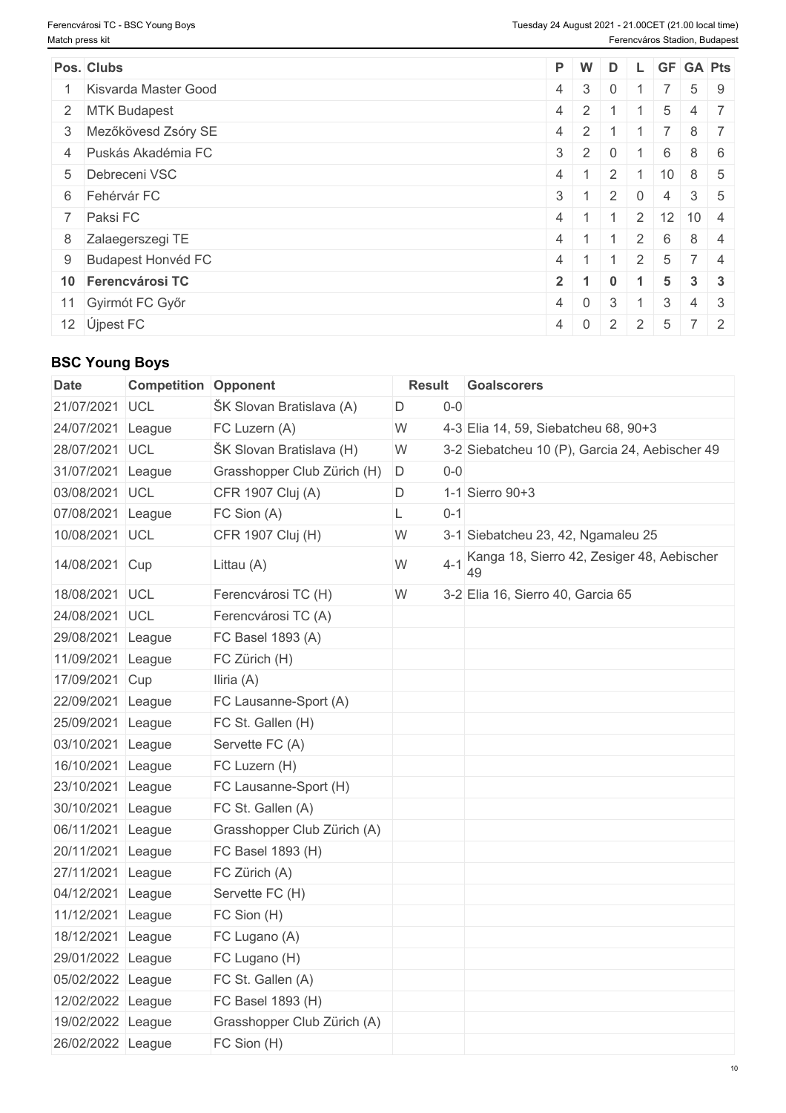| Pos. Clubs             | P W        |                                 | D              |                |                 | L GF GA Pts                |  |
|------------------------|------------|---------------------------------|----------------|----------------|-----------------|----------------------------|--|
| 1 Kisvarda Master Good | $4 \mid 3$ |                                 | $\overline{0}$ |                |                 | $5 \mid 9$                 |  |
| 2 MTK Budapest         |            | $4 \mid 2 \mid 1$               |                |                | 5               | $4 \mid 7$                 |  |
| 3 Mezőkövesd Zsóry SE  | $4 \mid 2$ |                                 |                |                |                 | $8 \mid 7$                 |  |
| 4 Puskás Akadémia FC   | $3 \mid 2$ |                                 | $\overline{0}$ |                | $6^{\circ}$     | $8 \mid 6$                 |  |
| 5 Debreceni VSC        | $4 \mid 1$ |                                 | $\mathcal{L}$  |                | $10^{-}$        | $8 \mid 5$                 |  |
| 6 Fehérvár FC          | $3 \mid 1$ |                                 | 2              | $\overline{0}$ | $\overline{4}$  | $3 \mid 5$                 |  |
| 7 Paksi FC             | $4 \mid 1$ |                                 |                |                |                 | $2 \mid 12 \mid 10 \mid 4$ |  |
| 8 Zalaegerszegi TE     | $4 \mid 1$ |                                 |                | 2 <sup>1</sup> | 6               | $8 \mid 4$                 |  |
| 9 Budapest Honvéd FC   | $4 \mid 1$ |                                 |                | 2              | $5\overline{)}$ | 7 4                        |  |
| 10 Ferencvárosi TC     | $2 \mid 1$ |                                 | $\Omega$       |                | $5^{\circ}$     | $3 \mid 3$                 |  |
| 11 Gyirmót FC Győr     |            | $4 \mid 0 \mid$                 | 3              |                | 3               | $4 \mid 3$                 |  |
| 12 Újpest FC           |            | $4 \mid 0 \mid 2 \mid 2 \mid 5$ |                |                |                 | $7 \mid 2$                 |  |

# **BSC Young Boys**

| <b>Date</b>       | <b>Competition Opponent</b> |                               | <b>Result</b> |               | Goalscorers                                    |
|-------------------|-----------------------------|-------------------------------|---------------|---------------|------------------------------------------------|
| 21/07/2021 UCL    |                             | ŠK Slovan Bratislava (A)      | D             | $0-0$         |                                                |
| 24/07/2021 League |                             | FC Luzern (A)                 | W             |               | 4-3 Elia 14, 59, Siebatcheu 68, 90+3           |
| 28/07/2021 UCL    |                             | ŠK Slovan Bratislava (H)      | W             |               | 3-2 Siebatcheu 10 (P), Garcia 24, Aebischer 49 |
| 31/07/2021 League |                             | Grasshopper Club Zürich (H) D |               | $0-0$         |                                                |
| 03/08/2021 UCL    |                             | CFR 1907 Cluj (A)             | D             |               | 1-1 Sierro 90+3                                |
| 07/08/2021 League |                             | FC Sion (A)                   | L             | $0 - 1$       |                                                |
| 10/08/2021 UCL    |                             | CFR 1907 Cluj (H)             | W             |               | 3-1 Siebatcheu 23, 42, Ngamaleu 25             |
| 14/08/2021 Cup    |                             | Littau (A)                    | W             | $4 - 1$<br>49 | Kanga 18, Sierro 42, Zesiger 48, Aebischer     |
| 18/08/2021 UCL    |                             | Ferencvárosi TC (H)           | W             |               | 3-2 Elia 16, Sierro 40, Garcia 65              |
| 24/08/2021 UCL    |                             | Ferencvárosi TC (A)           |               |               |                                                |
| 29/08/2021 League |                             | FC Basel 1893 (A)             |               |               |                                                |
| 11/09/2021 League |                             | FC Zürich (H)                 |               |               |                                                |
| 17/09/2021 Cup    |                             | Iliria (A)                    |               |               |                                                |
| 22/09/2021 League |                             | FC Lausanne-Sport (A)         |               |               |                                                |
| 25/09/2021 League |                             | FC St. Gallen (H)             |               |               |                                                |
| 03/10/2021 League |                             | Servette FC (A)               |               |               |                                                |
| 16/10/2021 League |                             | FC Luzern (H)                 |               |               |                                                |
| 23/10/2021 League |                             | FC Lausanne-Sport (H)         |               |               |                                                |
| 30/10/2021 League |                             | FC St. Gallen (A)             |               |               |                                                |
| 06/11/2021 League |                             | Grasshopper Club Zürich (A)   |               |               |                                                |
| 20/11/2021 League |                             | FC Basel 1893 (H)             |               |               |                                                |
| 27/11/2021 League |                             | FC Zürich (A)                 |               |               |                                                |
| 04/12/2021 League |                             | Servette FC (H)               |               |               |                                                |
| 11/12/2021 League |                             | FC Sion (H)                   |               |               |                                                |
| 18/12/2021 League |                             | FC Lugano (A)                 |               |               |                                                |
| 29/01/2022 League |                             | FC Lugano (H)                 |               |               |                                                |
| 05/02/2022 League |                             | FC St. Gallen (A)             |               |               |                                                |
| 12/02/2022 League |                             | FC Basel 1893 (H)             |               |               |                                                |
| 19/02/2022 League |                             | Grasshopper Club Zürich (A)   |               |               |                                                |
| 26/02/2022 League |                             | FC Sion (H)                   |               |               |                                                |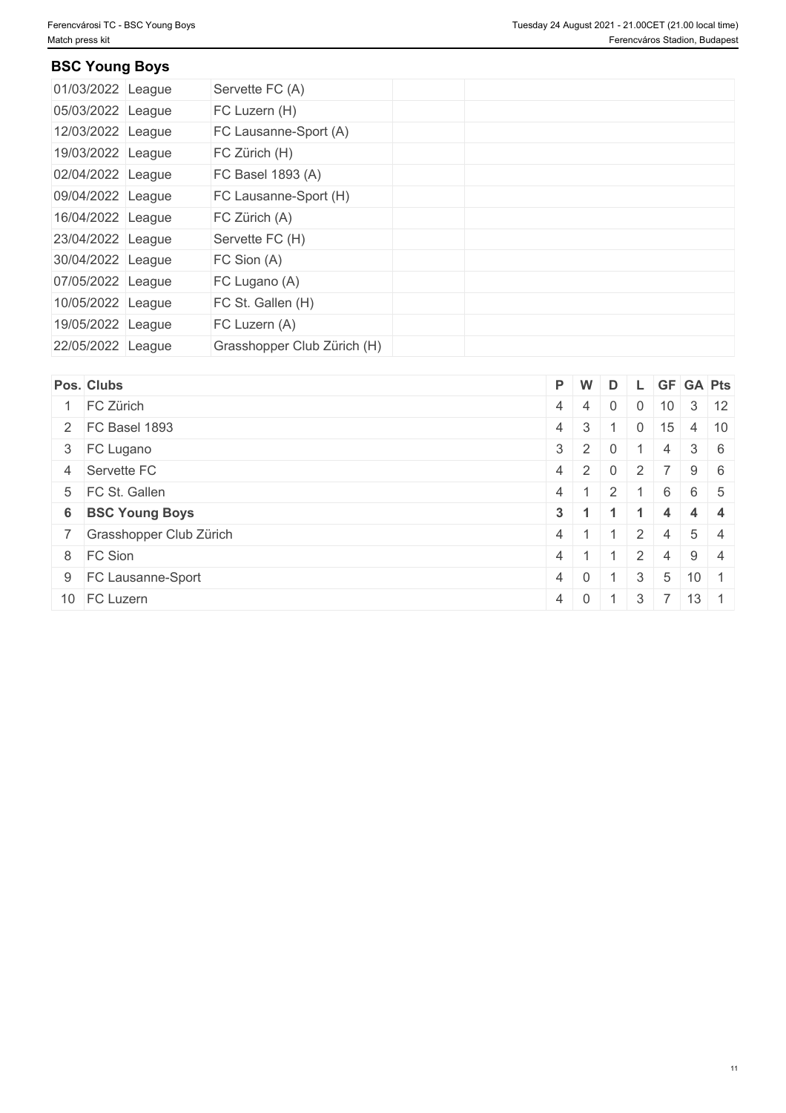## **BSC Young Boys**

| 01/03/2022 League | Servette FC (A)             |  |  |  |
|-------------------|-----------------------------|--|--|--|
| 05/03/2022 League | FC Luzern (H)               |  |  |  |
| 12/03/2022 League | FC Lausanne-Sport (A)       |  |  |  |
| 19/03/2022 League | FC Zürich (H)               |  |  |  |
| 02/04/2022 League | FC Basel 1893 (A)           |  |  |  |
| 09/04/2022 League | FC Lausanne-Sport (H)       |  |  |  |
| 16/04/2022 League | FC Zürich (A)               |  |  |  |
| 23/04/2022 League | Servette FC (H)             |  |  |  |
| 30/04/2022 League | FC Sion (A)                 |  |  |  |
| 07/05/2022 League | FC Lugano (A)               |  |  |  |
| 10/05/2022 League | FC St. Gallen (H)           |  |  |  |
| 19/05/2022 League | FC Luzern (A)               |  |  |  |
| 22/05/2022 League | Grasshopper Club Zürich (H) |  |  |  |

| Pos. Clubs                |            | P W             | D              |                |    | L GF GA Pts         |  |
|---------------------------|------------|-----------------|----------------|----------------|----|---------------------|--|
| FC Zürich                 | $4 \mid 4$ |                 | $\mathbf 0$    | $\overline{0}$ |    | $10 \mid 3 \mid 12$ |  |
| 2 FC Basel 1893           | 4 3        |                 |                | $\overline{0}$ | 15 | $4 \mid 10$         |  |
| 3 FC Lugano               |            | $3 \mid 2 \mid$ | $\overline{0}$ |                | 4  | $3 \mid 6$          |  |
| 4 Servette FC             |            | $4 \mid 2 \mid$ | $\overline{0}$ | 2 <sup>1</sup> |    | $9 \mid 6$          |  |
| 5 FC St. Gallen           | $4 \mid 1$ |                 |                |                | 6  | 6 5                 |  |
| 6 BSC Young Boys          | $3 \mid 1$ |                 |                |                |    | $4 \mid 4$          |  |
| 7 Grasshopper Club Zürich | $4 \mid 1$ |                 |                | 2              | 4  | $5 \mid 4$          |  |
| 8 FC Sion                 | 4          |                 |                | 2              | 4  | $9 \mid 4$          |  |
| 9 FC Lausanne-Sport       | 4 0        |                 |                | 3              | -5 | $10 \mid 1$         |  |
| 10 FC Luzern              | $4 \ 0$    |                 |                | 3              |    | $13 \mid 1$         |  |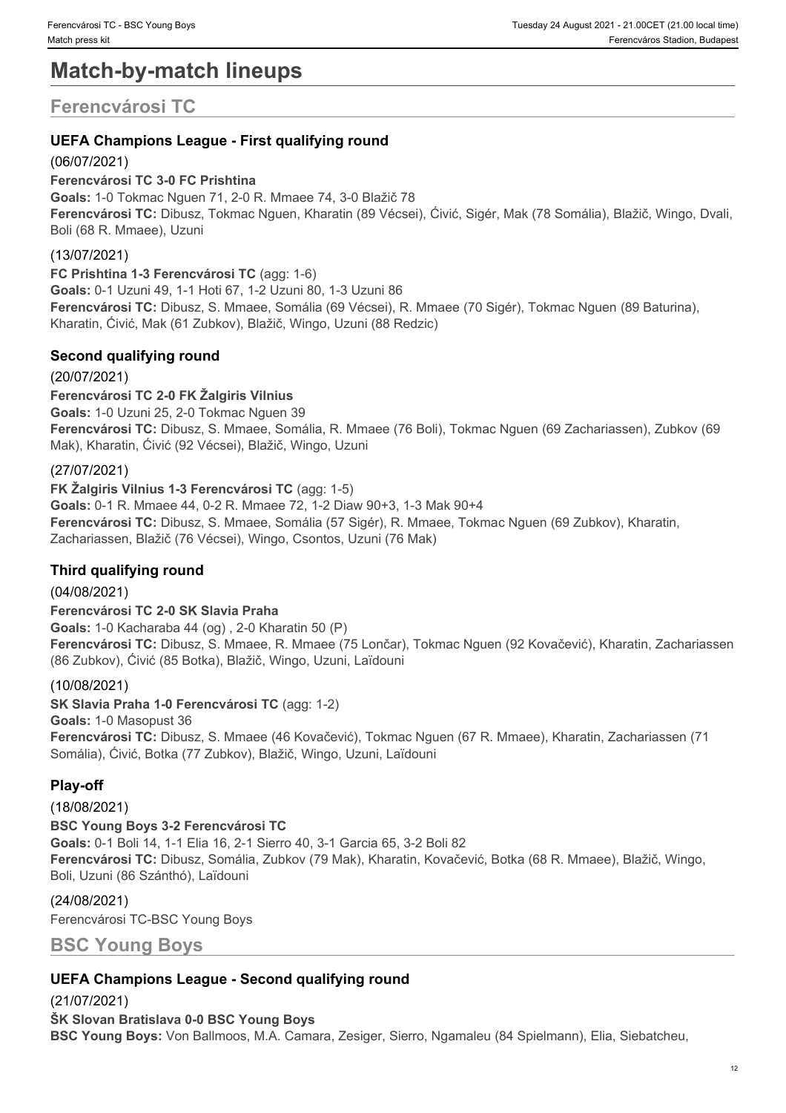# **Match-by-match lineups**

# **Ferencvárosi TC**

## **UEFA Champions League - First qualifying round**

### (06/07/2021)

**Ferencvárosi TC 3-0 FC Prishtina Goals:** 1-0 Tokmac Nguen 71, 2-0 R. Mmaee 74, 3-0 Blažič 78 **Ferencvárosi TC:** Dibusz, Tokmac Nguen, Kharatin (89 Vécsei), Ćivić, Sigér, Mak (78 Somália), Blažič, Wingo, Dvali, Boli (68 R. Mmaee), Uzuni

## (13/07/2021)

**FC Prishtina 1-3 Ferencvárosi TC** (agg: 1-6) **Goals:** 0-1 Uzuni 49, 1-1 Hoti 67, 1-2 Uzuni 80, 1-3 Uzuni 86 **Ferencvárosi TC:** Dibusz, S. Mmaee, Somália (69 Vécsei), R. Mmaee (70 Sigér), Tokmac Nguen (89 Baturina), Kharatin, Ćivić, Mak (61 Zubkov), Blažič, Wingo, Uzuni (88 Redzic)

## **Second qualifying round**

(20/07/2021)

**Ferencvárosi TC 2-0 FK Žalgiris Vilnius Goals:** 1-0 Uzuni 25, 2-0 Tokmac Nguen 39 **Ferencvárosi TC:** Dibusz, S. Mmaee, Somália, R. Mmaee (76 Boli), Tokmac Nguen (69 Zachariassen), Zubkov (69 Mak), Kharatin, Ćivić (92 Vécsei), Blažič, Wingo, Uzuni

### (27/07/2021)

**FK Žalgiris Vilnius 1-3 Ferencvárosi TC** (agg: 1-5) **Goals:** 0-1 R. Mmaee 44, 0-2 R. Mmaee 72, 1-2 Diaw 90+3, 1-3 Mak 90+4 **Ferencvárosi TC:** Dibusz, S. Mmaee, Somália (57 Sigér), R. Mmaee, Tokmac Nguen (69 Zubkov), Kharatin, Zachariassen, Blažič (76 Vécsei), Wingo, Csontos, Uzuni (76 Mak)

### **Third qualifying round**

(04/08/2021) **Ferencvárosi TC 2-0 SK Slavia Praha Goals:** 1-0 Kacharaba 44 (og) , 2-0 Kharatin 50 (P) **Ferencvárosi TC:** Dibusz, S. Mmaee, R. Mmaee (75 Lončar), Tokmac Nguen (92 Kovačević), Kharatin, Zachariassen (86 Zubkov), Ćivić (85 Botka), Blažič, Wingo, Uzuni, Laïdouni

### (10/08/2021)

**SK Slavia Praha 1-0 Ferencvárosi TC** (agg: 1-2) **Goals:** 1-0 Masopust 36 **Ferencvárosi TC:** Dibusz, S. Mmaee (46 Kovačević), Tokmac Nguen (67 R. Mmaee), Kharatin, Zachariassen (71 Somália), Ćivić, Botka (77 Zubkov), Blažič, Wingo, Uzuni, Laïdouni

# **Play-off**

(18/08/2021) **BSC Young Boys 3-2 Ferencvárosi TC Goals:** 0-1 Boli 14, 1-1 Elia 16, 2-1 Sierro 40, 3-1 Garcia 65, 3-2 Boli 82 **Ferencvárosi TC:** Dibusz, Somália, Zubkov (79 Mak), Kharatin, Kovačević, Botka (68 R. Mmaee), Blažič, Wingo, Boli, Uzuni (86 Szánthó), Laïdouni

#### (24/08/2021)

Ferencvárosi TC-BSC Young Boys

**BSC Young Boys**

### **UEFA Champions League - Second qualifying round**

(21/07/2021) **ŠK Slovan Bratislava 0-0 BSC Young Boys BSC Young Boys:** Von Ballmoos, M.A. Camara, Zesiger, Sierro, Ngamaleu (84 Spielmann), Elia, Siebatcheu,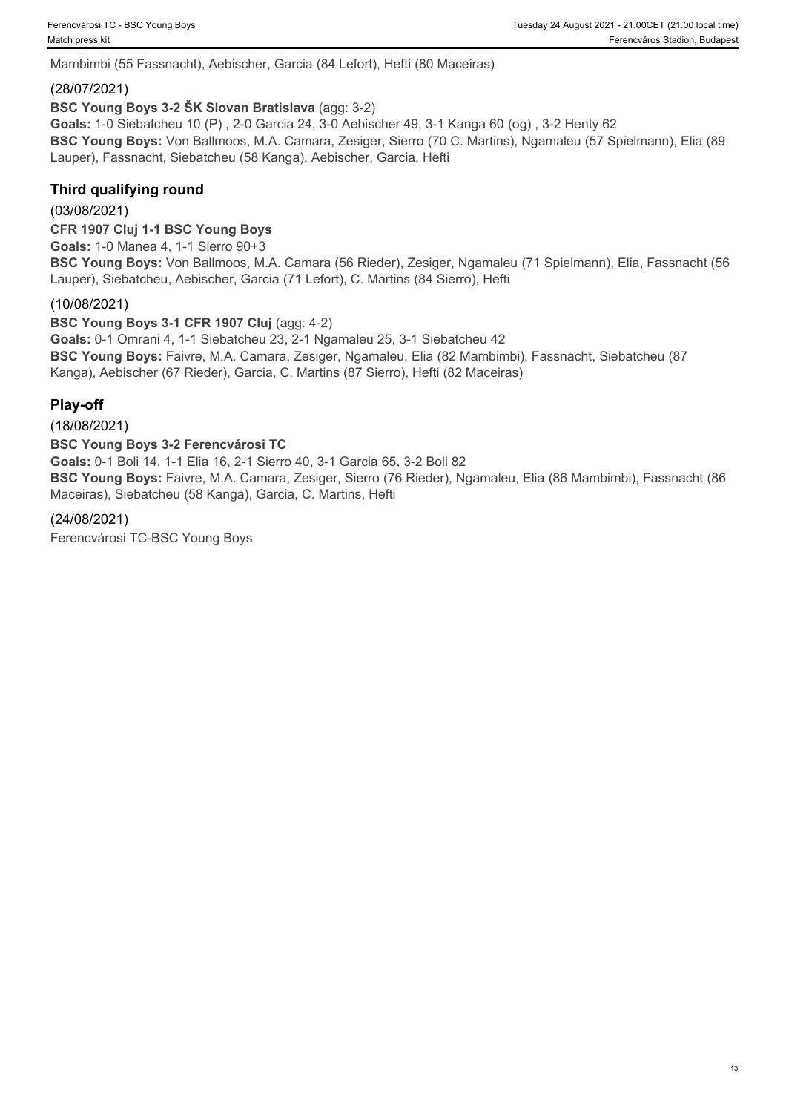Mambimbi (55 Fassnacht), Aebischer, Garcia (84 Lefort), Hefti (80 Maceiras)

#### (28/07/2021)

**BSC Young Boys 3-2 ŠK Slovan Bratislava** (agg: 3-2)

**Goals:** 1-0 Siebatcheu 10 (P) , 2-0 Garcia 24, 3-0 Aebischer 49, 3-1 Kanga 60 (og) , 3-2 Henty 62 **BSC Young Boys:** Von Ballmoos, M.A. Camara, Zesiger, Sierro (70 C. Martins), Ngamaleu (57 Spielmann), Elia (89 Lauper), Fassnacht, Siebatcheu (58 Kanga), Aebischer, Garcia, Hefti

#### **Third qualifying round**

(03/08/2021)

**CFR 1907 Cluj 1-1 BSC Young Boys Goals:** 1-0 Manea 4, 1-1 Sierro 90+3

**BSC Young Boys:** Von Ballmoos, M.A. Camara (56 Rieder), Zesiger, Ngamaleu (71 Spielmann), Elia, Fassnacht (56 Lauper), Siebatcheu, Aebischer, Garcia (71 Lefort), C. Martins (84 Sierro), Hefti

#### (10/08/2021)

**BSC Young Boys 3-1 CFR 1907 Cluj** (agg: 4-2) **Goals:** 0-1 Omrani 4, 1-1 Siebatcheu 23, 2-1 Ngamaleu 25, 3-1 Siebatcheu 42 **BSC Young Boys:** Faivre, M.A. Camara, Zesiger, Ngamaleu, Elia (82 Mambimbi), Fassnacht, Siebatcheu (87 Kanga), Aebischer (67 Rieder), Garcia, C. Martins (87 Sierro), Hefti (82 Maceiras)

#### **Play-off**

(18/08/2021)

**BSC Young Boys 3-2 Ferencvárosi TC Goals:** 0-1 Boli 14, 1-1 Elia 16, 2-1 Sierro 40, 3-1 Garcia 65, 3-2 Boli 82 **BSC Young Boys:** Faivre, M.A. Camara, Zesiger, Sierro (76 Rieder), Ngamaleu, Elia (86 Mambimbi), Fassnacht (86 Maceiras), Siebatcheu (58 Kanga), Garcia, C. Martins, Hefti

(24/08/2021) Ferencvárosi TC-BSC Young Boys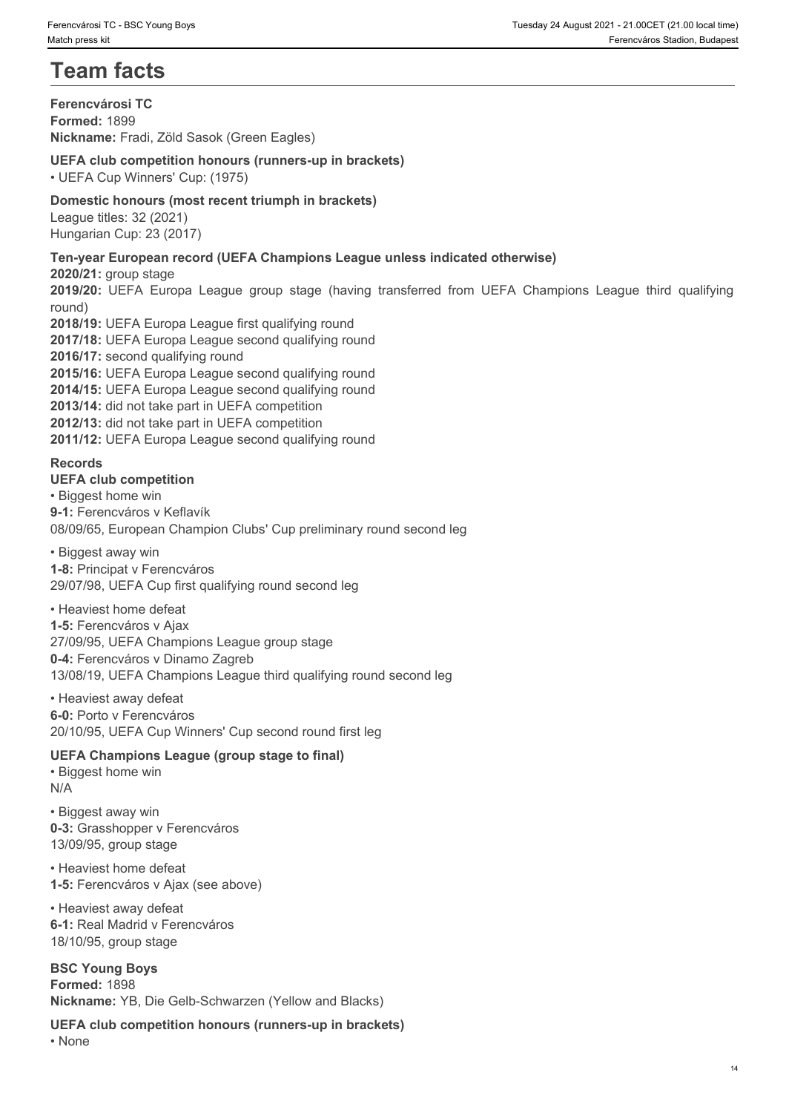# **Team facts**

**Ferencvárosi TC Formed:** 1899 **Nickname:** Fradi, Zöld Sasok (Green Eagles)

### **UEFA club competition honours (runners-up in brackets)**

• UEFA Cup Winners' Cup: (1975)

#### **Domestic honours (most recent triumph in brackets)**

League titles: 32 (2021) Hungarian Cup: 23 (2017)

### **Ten-year European record (UEFA Champions League unless indicated otherwise)**

**2020/21:** group stage

round)

**2019/2018/20: Decotor (UEFA Champions League Stage (having transferred from UEFA Champions Stage (having Termovians Stage)<br>
<b>2019/2019**<br> **2019/2019 Stage (1999)**<br> **2019/20: UEFA Cub competition honours (runners-up in brac 2018/19:** UEFA Europa League first qualifying round **2017/18:** UEFA Europa League second qualifying round **2016/17:** second qualifying round **2015/16:** UEFA Europa League second qualifying round **2014/15:** UEFA Europa League second qualifying round **2013/14:** did not take part in UEFA competition **2012/13:** did not take part in UEFA competition **2011/12:** UEFA Europa League second qualifying round

#### **Records**

#### **UEFA club competition**

• Biggest home win **9-1:** Ferencváros v Keflavík 08/09/65, European Champion Clubs' Cup preliminary round second leg

• Biggest away win **1-8:** Principat v Ferencváros 29/07/98, UEFA Cup first qualifying round second leg

• Heaviest home defeat **1-5:** Ferencváros v Ajax 27/09/95, UEFA Champions League group stage **0-4:** Ferencváros v Dinamo Zagreb 13/08/19, UEFA Champions League third qualifying round second leg

• Heaviest away defeat **6-0:** Porto v Ferencváros 20/10/95, UEFA Cup Winners' Cup second round first leg

### **UEFA Champions League (group stage to final)**

• Biggest home win N/A

• Biggest away win **0-3:** Grasshopper v Ferencváros 13/09/95, group stage

• Heaviest home defeat **1-5:** Ferencváros v Ajax (see above)

• Heaviest away defeat **6-1:** Real Madrid v Ferencváros 18/10/95, group stage

**BSC Young Boys Formed:** 1898 **Nickname:** YB, Die Gelb-Schwarzen (Yellow and Blacks)

**UEFA club competition honours (runners-up in brackets)** • None **blue** and **blue** and **blue** and **blue** and **blue** and **blue** and **blue** and **blue** and **blue** and **blue** and **blue** and **blue** and **blue** and **blue** and **blue** and **blue** and **blue** and **blue** and **blue** and **blue**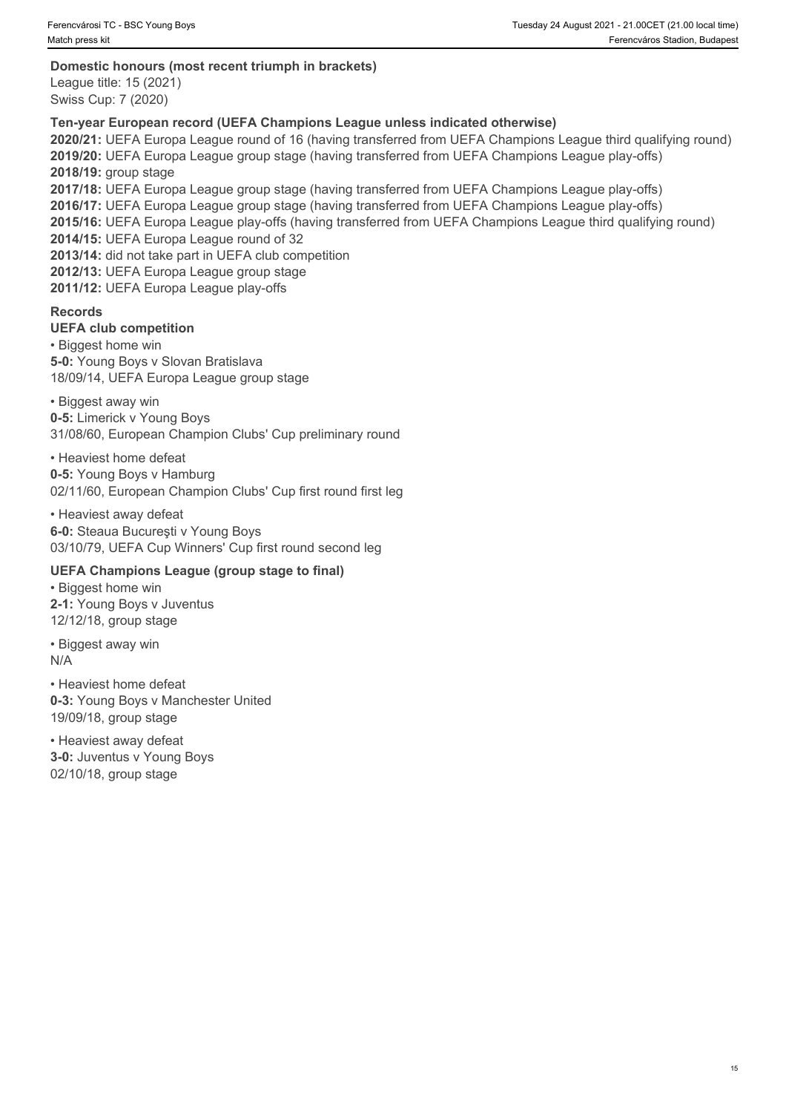#### **Domestic honours (most recent triumph in brackets)**

League title: 15 (2021) Swiss Cup: 7 (2020)

#### **Ten-year European record (UEFA Champions League unless indicated otherwise)**

**2020/21:** UEFA Europa League round of 16 (having transferred from UEFA Champions League third qualifying round) **2019/20:** UEFA Europa League group stage (having transferred from UEFA Champions League play-offs) **2018/19:** group stage **2017/18:** UEFA Europa League group stage (having transferred from UEFA Champions League play-offs) **2016/17:** UEFA Europa League group stage (having transferred from UEFA Champions League play-offs) **2015/16:** UEFA Europa League play-offs (having transferred from UEFA Champions League third qualifying round) **2014/15:** UEFA Europa League round of 32 **2013/14:** did not take part in UEFA club competition **2012/13:** UEFA Europa League group stage **2011/12:** UEFA Europa League play-offs

#### **Records**

#### **UEFA club competition**

• Biggest home win **5-0:** Young Boys v Slovan Bratislava 18/09/14, UEFA Europa League group stage

• Biggest away win **0-5:** Limerick v Young Boys 31/08/60, European Champion Clubs' Cup preliminary round

• Heaviest home defeat **0-5:** Young Boys v Hamburg 02/11/60, European Champion Clubs' Cup first round first leg

• Heaviest away defeat **6-0:** Steaua Bucureşti v Young Boys 03/10/79, UEFA Cup Winners' Cup first round second leg

#### **UEFA Champions League (group stage to final)**

• Biggest home win **2-1:** Young Boys v Juventus 12/12/18, group stage

• Biggest away win N/A

• Heaviest home defeat **0-3:** Young Boys v Manchester United 19/09/18, group stage

• Heaviest away defeat **3-0:** Juventus v Young Boys 02/10/18, group stage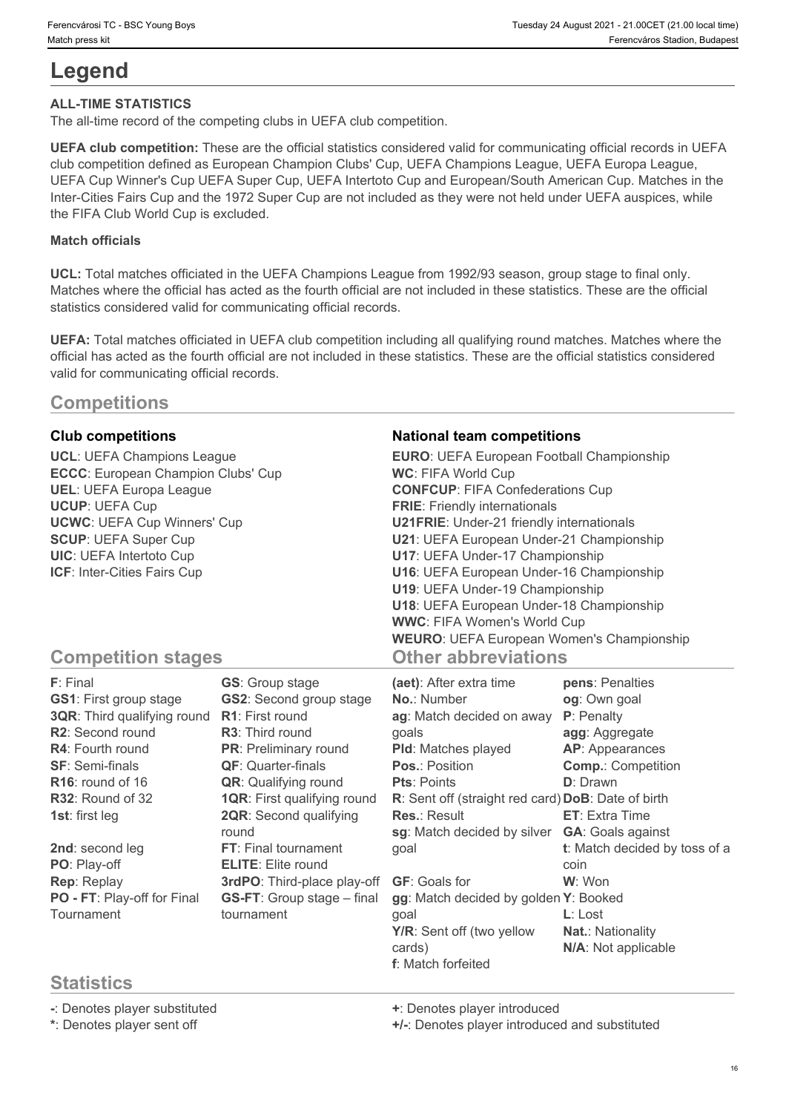# **Legend**

#### **ALL-TIME STATISTICS**

The all-time record of the competing clubs in UEFA club competition.

**UEFA club competition:** These are the official statistics considered valid for communicating official records in UEFA club competition defined as European Champion Clubs' Cup, UEFA Champions League, UEFA Europa League, UEFA Cup Winner's Cup UEFA Super Cup, UEFA Intertoto Cup and European/South American Cup. Matches in the Inter-Cities Fairs Cup and the 1972 Super Cup are not included as they were not held under UEFA auspices, while the FIFA Club World Cup is excluded.

#### **Match officials**

**UCL:** Total matches officiated in the UEFA Champions League from 1992/93 season, group stage to final only. Matches where the official has acted as the fourth official are not included in these statistics. These are the official statistics considered valid for communicating official records.

**UEFA:** Total matches officiated in UEFA club competition including all qualifying round matches. Matches where the official has acted as the fourth official are not included in these statistics. These are the official statistics considered valid for communicating official records.

# **Competitions**

# **Statistics**

**-**: Denotes player substituted **+**: Denotes player introduced

**\***: Denotes player sent off **+/-**: Denotes player introduced and substituted